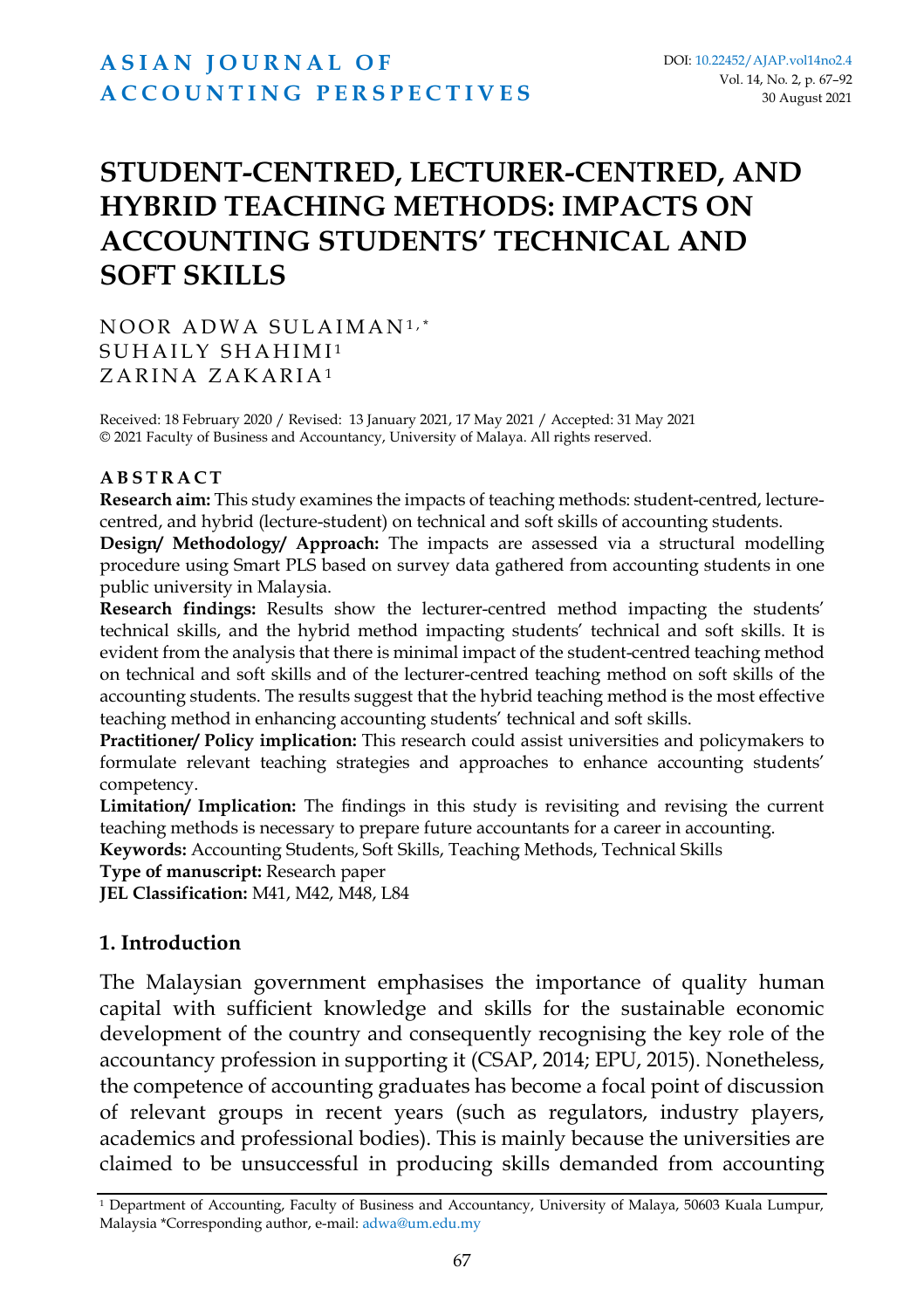# **A S I A N [J O U R N A L](https://ajap.um.edu.my/) O F A C C O U N T I N G [P E R S P E C T I V E S](https://ajap.um.edu.my/)**

# **STUDENT-CENTRED, LECTURER-CENTRED, AND HYBRID TEACHING METHODS: IMPACTS ON ACCOUNTING STUDENTS' TECHNICAL AND SOFT SKILLS**

NOOR ADWA SULAIMAN<sup>1,\*</sup> SUHAILY SHAHIMI<sup>1</sup> ZARINA ZAKARIA<sup>1</sup>

Received: 18 February 2020 / Revised: 13 January 2021, 17 May 2021 / Accepted: 31 May 2021 © 2021 Faculty of Business and Accountancy, University of Malaya. All rights reserved.

#### **A B S T R A C T**

**Research aim:** This study examines the impacts of teaching methods: student-centred, lecturecentred, and hybrid (lecture-student) on technical and soft skills of accounting students.

**Design/ Methodology/ Approach:** The impacts are assessed via a structural modelling procedure using Smart PLS based on survey data gathered from accounting students in one public university in Malaysia.

**Research findings:** Results show the lecturer-centred method impacting the students' technical skills, and the hybrid method impacting students' technical and soft skills. It is evident from the analysis that there is minimal impact of the student-centred teaching method on technical and soft skills and of the lecturer-centred teaching method on soft skills of the accounting students. The results suggest that the hybrid teaching method is the most effective teaching method in enhancing accounting students' technical and soft skills.

**Practitioner/ Policy implication:** This research could assist universities and policymakers to formulate relevant teaching strategies and approaches to enhance accounting students' competency.

**Limitation/ Implication:** The findings in this study is revisiting and revising the current teaching methods is necessary to prepare future accountants for a career in accounting.

**Keywords:** Accounting Students, Soft Skills, Teaching Methods, Technical Skills

**Type of manuscript:** Research paper

**JEL Classification:** M41, M42, M48, L84

#### **1. Introduction**

The Malaysian government emphasises the importance of quality human capital with sufficient knowledge and skills for the sustainable economic development of the country and consequently recognising the key role of the accountancy profession in supporting it (CSAP, 2014; EPU, 2015). Nonetheless, the competence of accounting graduates has become a focal point of discussion of relevant groups in recent years (such as regulators, industry players, academics and professional bodies). This is mainly because the universities are claimed to be unsuccessful in producing skills demanded from accounting

<sup>1</sup> Department of Accounting, Faculty of Business and Accountancy, University of Malaya, 50603 Kuala Lumpur, Malaysia \*Corresponding author, e-mail: adwa@um.edu.my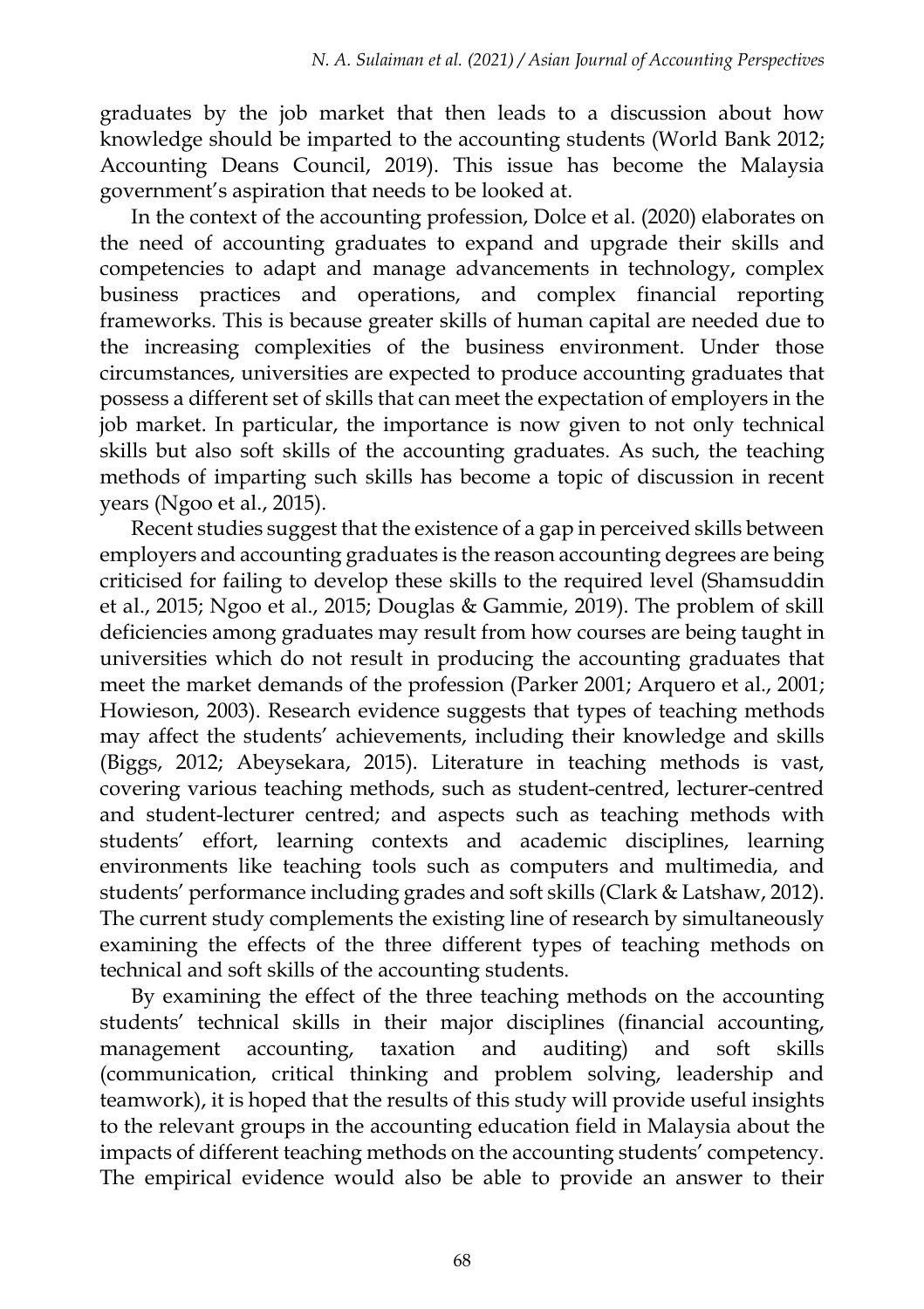graduates by the job market that then leads to a discussion about how knowledge should be imparted to the accounting students (World Bank 2012; Accounting Deans Council, 2019). This issue has become the Malaysia government's aspiration that needs to be looked at.

In the context of the accounting profession, Dolce et al. (2020) elaborates on the need of accounting graduates to expand and upgrade their skills and competencies to adapt and manage advancements in technology, complex business practices and operations, and complex financial reporting frameworks. This is because greater skills of human capital are needed due to the increasing complexities of the business environment. Under those circumstances, universities are expected to produce accounting graduates that possess a different set of skills that can meet the expectation of employers in the job market. In particular, the importance is now given to not only technical skills but also soft skills of the accounting graduates. As such, the teaching methods of imparting such skills has become a topic of discussion in recent years (Ngoo et al., 2015).

Recent studies suggest that the existence of a gap in perceived skills between employers and accounting graduates is the reason accounting degrees are being criticised for failing to develop these skills to the required level (Shamsuddin et al., 2015; Ngoo et al., 2015; Douglas & Gammie, 2019). The problem of skill deficiencies among graduates may result from how courses are being taught in universities which do not result in producing the accounting graduates that meet the market demands of the profession (Parker 2001; Arquero et al., 2001; Howieson, 2003). Research evidence suggests that types of teaching methods may affect the students' achievements, including their knowledge and skills (Biggs, 2012; Abeysekara, 2015). Literature in teaching methods is vast, covering various teaching methods, such as student-centred, lecturer-centred and student-lecturer centred; and aspects such as teaching methods with students' effort, learning contexts and academic disciplines, learning environments like teaching tools such as computers and multimedia, and students' performance including grades and soft skills (Clark & Latshaw, 2012). The current study complements the existing line of research by simultaneously examining the effects of the three different types of teaching methods on technical and soft skills of the accounting students.

By examining the effect of the three teaching methods on the accounting students' technical skills in their major disciplines (financial accounting, management accounting, taxation and auditing) and soft skills (communication, critical thinking and problem solving, leadership and teamwork), it is hoped that the results of this study will provide useful insights to the relevant groups in the accounting education field in Malaysia about the impacts of different teaching methods on the accounting students' competency. The empirical evidence would also be able to provide an answer to their

68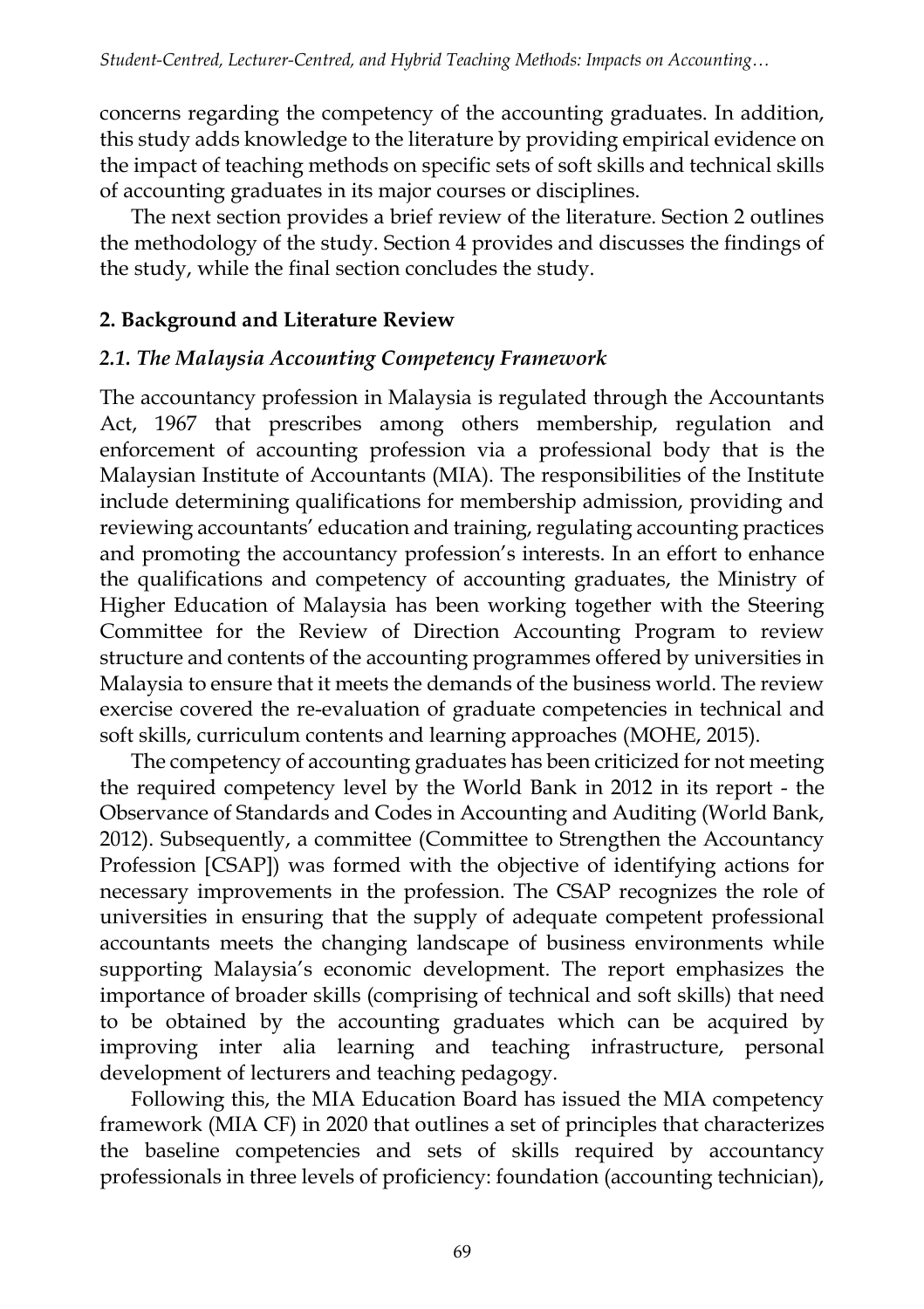concerns regarding the competency of the accounting graduates. In addition, this study adds knowledge to the literature by providing empirical evidence on the impact of teaching methods on specific sets of soft skills and technical skills of accounting graduates in its major courses or disciplines.

The next section provides a brief review of the literature. Section 2 outlines the methodology of the study. Section 4 provides and discusses the findings of the study, while the final section concludes the study.

## **2. Background and Literature Review**

## *2.1. The Malaysia Accounting Competency Framework*

The accountancy profession in Malaysia is regulated through the Accountants Act, 1967 that prescribes among others membership, regulation and enforcement of accounting profession via a professional body that is the Malaysian Institute of Accountants (MIA). The responsibilities of the Institute include determining qualifications for membership admission, providing and reviewing accountants' education and training, regulating accounting practices and promoting the accountancy profession's interests. In an effort to enhance the qualifications and competency of accounting graduates, the Ministry of Higher Education of Malaysia has been working together with the Steering Committee for the Review of Direction Accounting Program to review structure and contents of the accounting programmes offered by universities in Malaysia to ensure that it meets the demands of the business world. The review exercise covered the re-evaluation of graduate competencies in technical and soft skills, curriculum contents and learning approaches (MOHE, 2015).

The competency of accounting graduates has been criticized for not meeting the required competency level by the World Bank in 2012 in its report - the Observance of Standards and Codes in Accounting and Auditing (World Bank, 2012). Subsequently, a committee (Committee to Strengthen the Accountancy Profession [CSAP]) was formed with the objective of identifying actions for necessary improvements in the profession. The CSAP recognizes the role of universities in ensuring that the supply of adequate competent professional accountants meets the changing landscape of business environments while supporting Malaysia's economic development. The report emphasizes the importance of broader skills (comprising of technical and soft skills) that need to be obtained by the accounting graduates which can be acquired by improving inter alia learning and teaching infrastructure, personal development of lecturers and teaching pedagogy.

Following this, the MIA Education Board has issued the MIA competency framework (MIA CF) in 2020 that outlines a set of principles that characterizes the baseline competencies and sets of skills required by accountancy professionals in three levels of proficiency: foundation (accounting technician),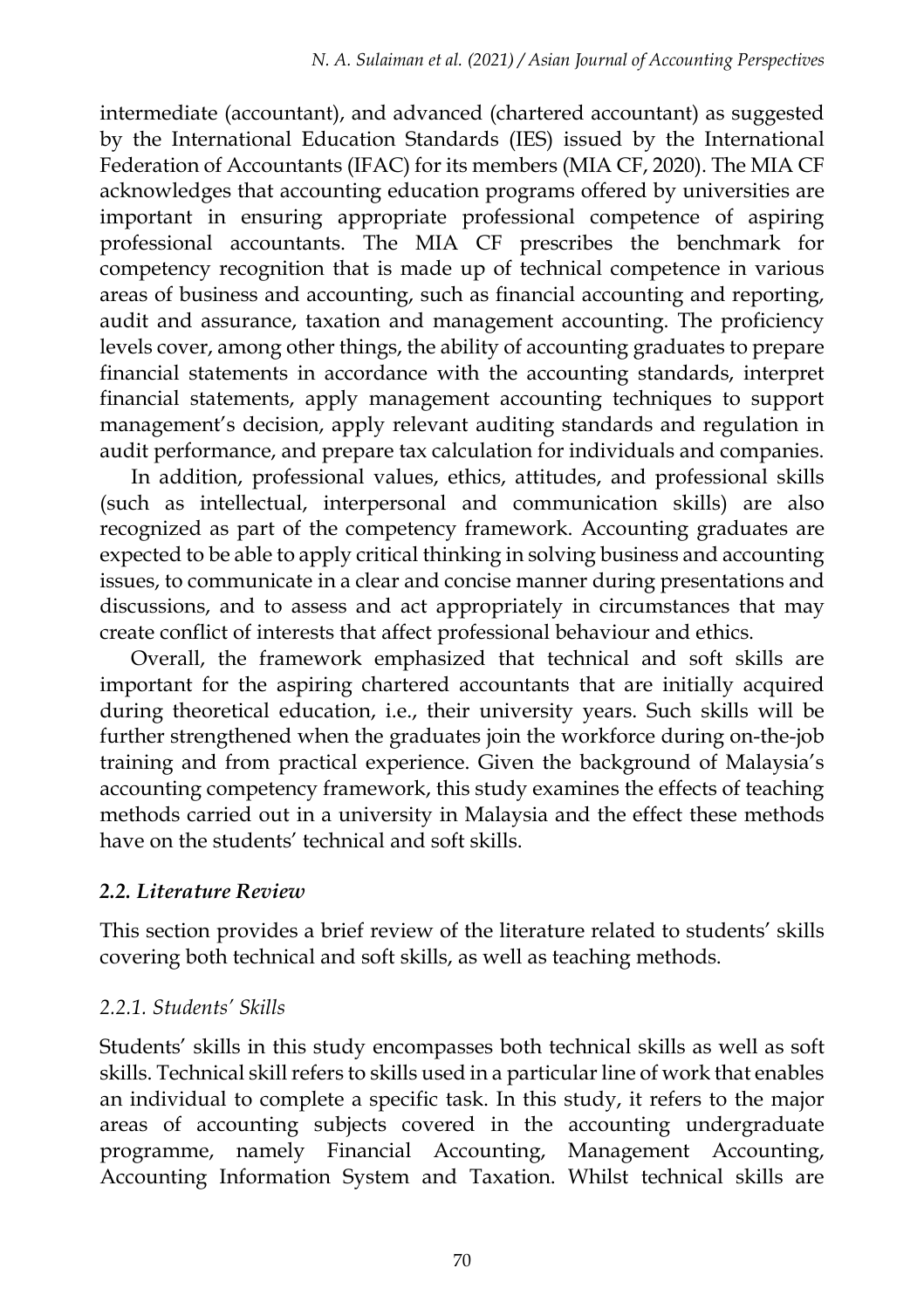intermediate (accountant), and advanced (chartered accountant) as suggested by the International Education Standards (IES) issued by the International Federation of Accountants (IFAC) for its members (MIA CF, 2020). The MIA CF acknowledges that accounting education programs offered by universities are important in ensuring appropriate professional competence of aspiring professional accountants. The MIA CF prescribes the benchmark for competency recognition that is made up of technical competence in various areas of business and accounting, such as financial accounting and reporting, audit and assurance, taxation and management accounting. The proficiency levels cover, among other things, the ability of accounting graduates to prepare financial statements in accordance with the accounting standards, interpret financial statements, apply management accounting techniques to support management's decision, apply relevant auditing standards and regulation in audit performance, and prepare tax calculation for individuals and companies.

In addition, professional values, ethics, attitudes, and professional skills (such as intellectual, interpersonal and communication skills) are also recognized as part of the competency framework. Accounting graduates are expected to be able to apply critical thinking in solving business and accounting issues, to communicate in a clear and concise manner during presentations and discussions, and to assess and act appropriately in circumstances that may create conflict of interests that affect professional behaviour and ethics.

Overall, the framework emphasized that technical and soft skills are important for the aspiring chartered accountants that are initially acquired during theoretical education, i.e., their university years. Such skills will be further strengthened when the graduates join the workforce during on-the-job training and from practical experience. Given the background of Malaysia's accounting competency framework, this study examines the effects of teaching methods carried out in a university in Malaysia and the effect these methods have on the students' technical and soft skills.

## *2.2. Literature Review*

This section provides a brief review of the literature related to students' skills covering both technical and soft skills, as well as teaching methods.

## *2.2.1. Students' Skills*

Students' skills in this study encompasses both technical skills as well as soft skills. Technical skill refers to skills used in a particular line of work that enables an individual to complete a specific task. In this study, it refers to the major areas of accounting subjects covered in the accounting undergraduate programme, namely Financial Accounting, Management Accounting, Accounting Information System and Taxation. Whilst technical skills are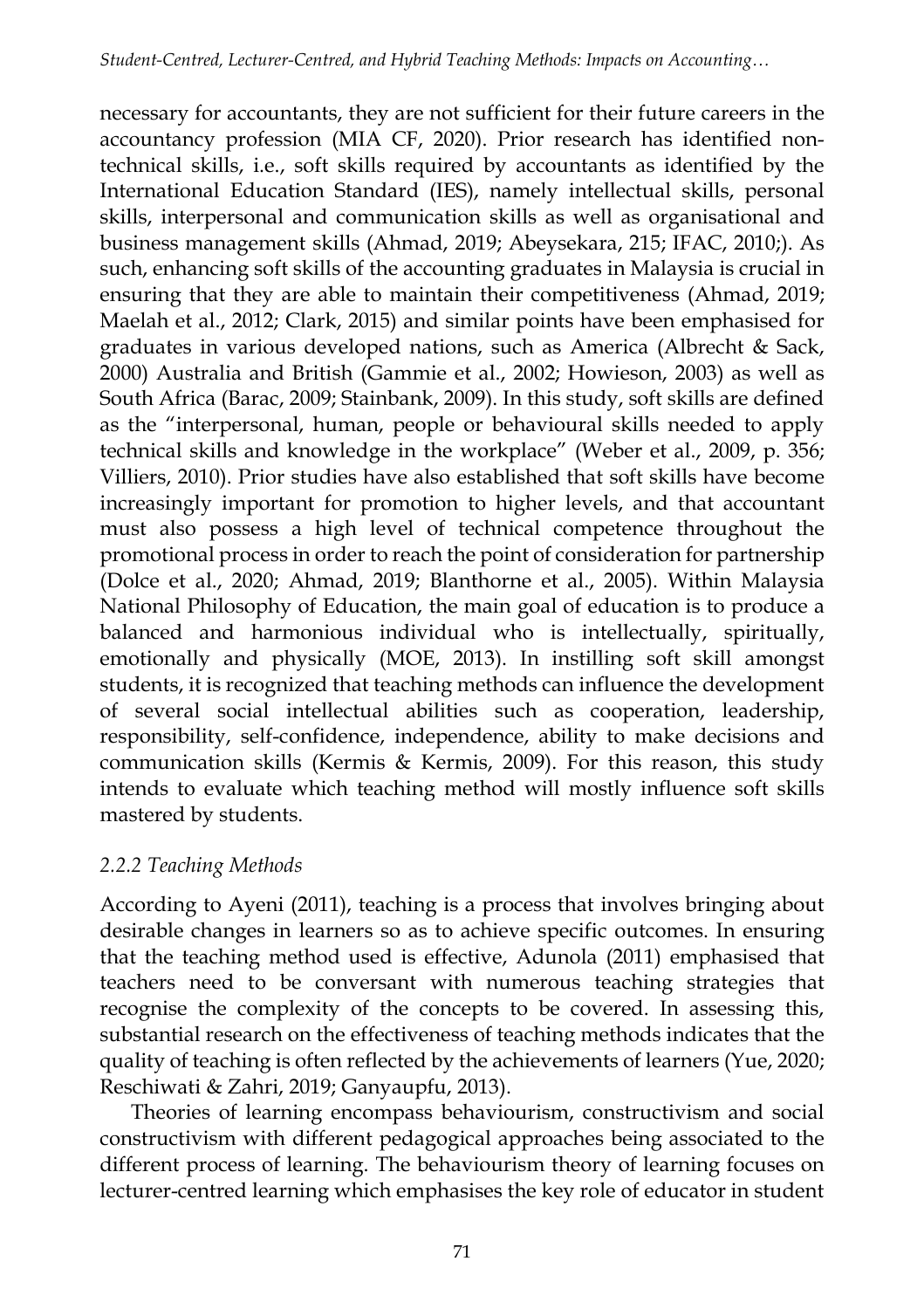necessary for accountants, they are not sufficient for their future careers in the accountancy profession (MIA CF, 2020). Prior research has identified nontechnical skills, i.e., soft skills required by accountants as identified by the International Education Standard (IES), namely intellectual skills, personal skills, interpersonal and communication skills as well as organisational and business management skills (Ahmad, 2019; Abeysekara, 215; IFAC, 2010;). As such, enhancing soft skills of the accounting graduates in Malaysia is crucial in ensuring that they are able to maintain their competitiveness (Ahmad, 2019; Maelah et al., 2012; Clark, 2015) and similar points have been emphasised for graduates in various developed nations, such as America (Albrecht & Sack, 2000) Australia and British (Gammie et al., 2002; Howieson, 2003) as well as South Africa (Barac, 2009; Stainbank, 2009). In this study, soft skills are defined as the "interpersonal, human, people or behavioural skills needed to apply technical skills and knowledge in the workplace" (Weber et al., 2009, p. 356; Villiers, 2010). Prior studies have also established that soft skills have become increasingly important for promotion to higher levels, and that accountant must also possess a high level of technical competence throughout the promotional process in order to reach the point of consideration for partnership (Dolce et al., 2020; Ahmad, 2019; Blanthorne et al., 2005). Within Malaysia National Philosophy of Education, the main goal of education is to produce a balanced and harmonious individual who is intellectually, spiritually, emotionally and physically (MOE, 2013). In instilling soft skill amongst students, it is recognized that teaching methods can influence the development of several social intellectual abilities such as cooperation, leadership, responsibility, self-confidence, independence, ability to make decisions and communication skills (Kermis & Kermis, 2009). For this reason, this study intends to evaluate which teaching method will mostly influence soft skills mastered by students.

## *2.2.2 Teaching Methods*

According to Ayeni (2011), teaching is a process that involves bringing about desirable changes in learners so as to achieve specific outcomes. In ensuring that the teaching method used is effective, Adunola (2011) emphasised that teachers need to be conversant with numerous teaching strategies that recognise the complexity of the concepts to be covered. In assessing this, substantial research on the effectiveness of teaching methods indicates that the quality of teaching is often reflected by the achievements of learners (Yue, 2020; Reschiwati & Zahri, 2019; Ganyaupfu, 2013).

Theories of learning encompass behaviourism, constructivism and social constructivism with different pedagogical approaches being associated to the different process of learning. The behaviourism theory of learning focuses on lecturer-centred learning which emphasises the key role of educator in student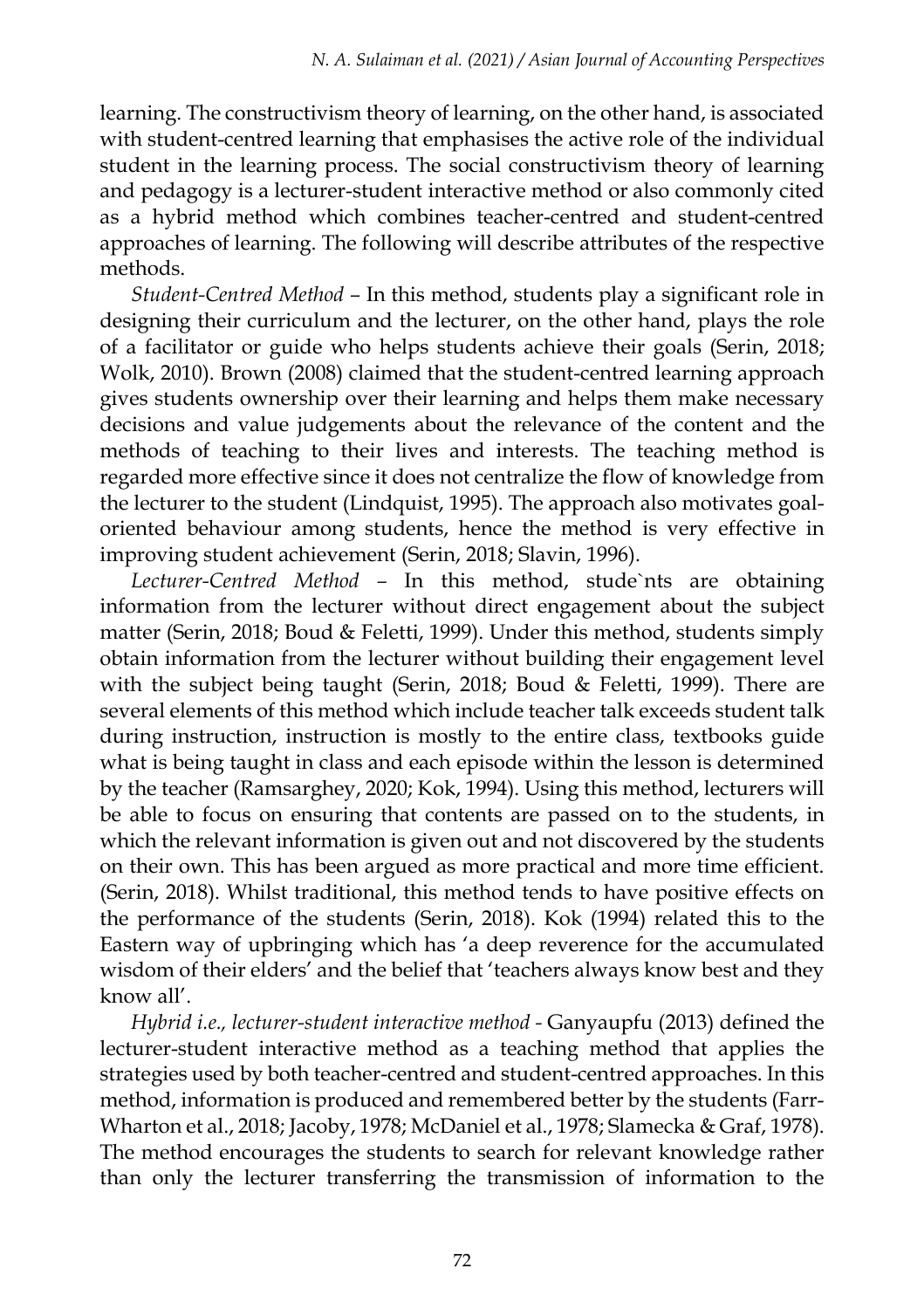learning. The constructivism theory of learning, on the other hand, is associated with student-centred learning that emphasises the active role of the individual student in the learning process. The social constructivism theory of learning and pedagogy is a lecturer-student interactive method or also commonly cited as a hybrid method which combines teacher-centred and student-centred approaches of learning. The following will describe attributes of the respective methods.

*Student-Centred Method –* In this method, students play a significant role in designing their curriculum and the lecturer, on the other hand, plays the role of a facilitator or guide who helps students achieve their goals (Serin, 2018; Wolk, 2010). Brown (2008) claimed that the student-centred learning approach gives students ownership over their learning and helps them make necessary decisions and value judgements about the relevance of the content and the methods of teaching to their lives and interests. The teaching method is regarded more effective since it does not centralize the flow of knowledge from the lecturer to the student (Lindquist, 1995). The approach also motivates goaloriented behaviour among students, hence the method is very effective in improving student achievement (Serin, 2018; Slavin, 1996).

*Lecturer-Centred Method –* In this method, stude`nts are obtaining information from the lecturer without direct engagement about the subject matter (Serin, 2018; Boud & Feletti, 1999). Under this method, students simply obtain information from the lecturer without building their engagement level with the subject being taught (Serin, 2018; Boud & Feletti, 1999). There are several elements of this method which include teacher talk exceeds student talk during instruction, instruction is mostly to the entire class, textbooks guide what is being taught in class and each episode within the lesson is determined by the teacher (Ramsarghey, 2020; Kok, 1994). Using this method, lecturers will be able to focus on ensuring that contents are passed on to the students, in which the relevant information is given out and not discovered by the students on their own. This has been argued as more practical and more time efficient. (Serin, 2018). Whilst traditional, this method tends to have positive effects on the performance of the students (Serin, 2018). Kok (1994) related this to the Eastern way of upbringing which has 'a deep reverence for the accumulated wisdom of their elders' and the belief that 'teachers always know best and they know all'.

*Hybrid i.e., lecturer-student interactive method -* Ganyaupfu (2013) defined the lecturer-student interactive method as a teaching method that applies the strategies used by both teacher-centred and student-centred approaches. In this method, information is produced and remembered better by the students (Farr-Wharton et al., 2018; Jacoby, 1978; McDaniel et al., 1978; Slamecka & Graf, 1978). The method encourages the students to search for relevant knowledge rather than only the lecturer transferring the transmission of information to the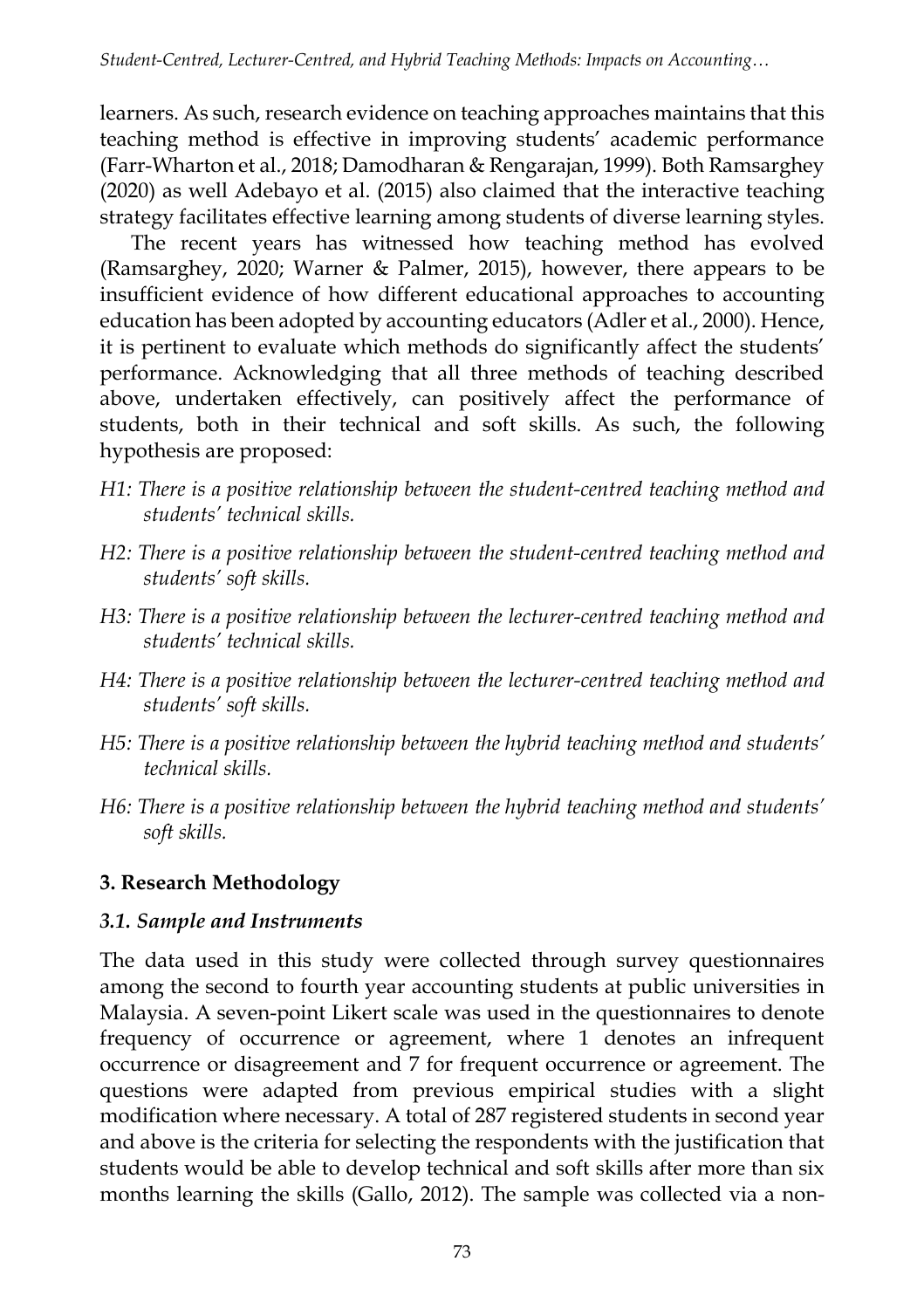learners. As such, research evidence on teaching approaches maintains that this teaching method is effective in improving students' academic performance (Farr-Wharton et al., 2018; Damodharan & Rengarajan, 1999). Both Ramsarghey (2020) as well Adebayo et al. (2015) also claimed that the interactive teaching strategy facilitates effective learning among students of diverse learning styles.

The recent years has witnessed how teaching method has evolved (Ramsarghey, 2020; Warner & Palmer, 2015), however, there appears to be insufficient evidence of how different educational approaches to accounting education has been adopted by accounting educators (Adler et al., 2000). Hence, it is pertinent to evaluate which methods do significantly affect the students' performance. Acknowledging that all three methods of teaching described above, undertaken effectively, can positively affect the performance of students, both in their technical and soft skills. As such, the following hypothesis are proposed:

- *H1: There is a positive relationship between the student-centred teaching method and students' technical skills.*
- *H2: There is a positive relationship between the student-centred teaching method and students' soft skills.*
- *H3: There is a positive relationship between the lecturer-centred teaching method and students' technical skills.*
- *H4: There is a positive relationship between the lecturer-centred teaching method and students' soft skills.*
- *H5: There is a positive relationship between the hybrid teaching method and students' technical skills.*
- *H6: There is a positive relationship between the hybrid teaching method and students' soft skills.*

# **3. Research Methodology**

## *3.1. Sample and Instruments*

The data used in this study were collected through survey questionnaires among the second to fourth year accounting students at public universities in Malaysia. A seven-point Likert scale was used in the questionnaires to denote frequency of occurrence or agreement, where 1 denotes an infrequent occurrence or disagreement and 7 for frequent occurrence or agreement. The questions were adapted from previous empirical studies with a slight modification where necessary. A total of 287 registered students in second year and above is the criteria for selecting the respondents with the justification that students would be able to develop technical and soft skills after more than six months learning the skills (Gallo, 2012). The sample was collected via a non-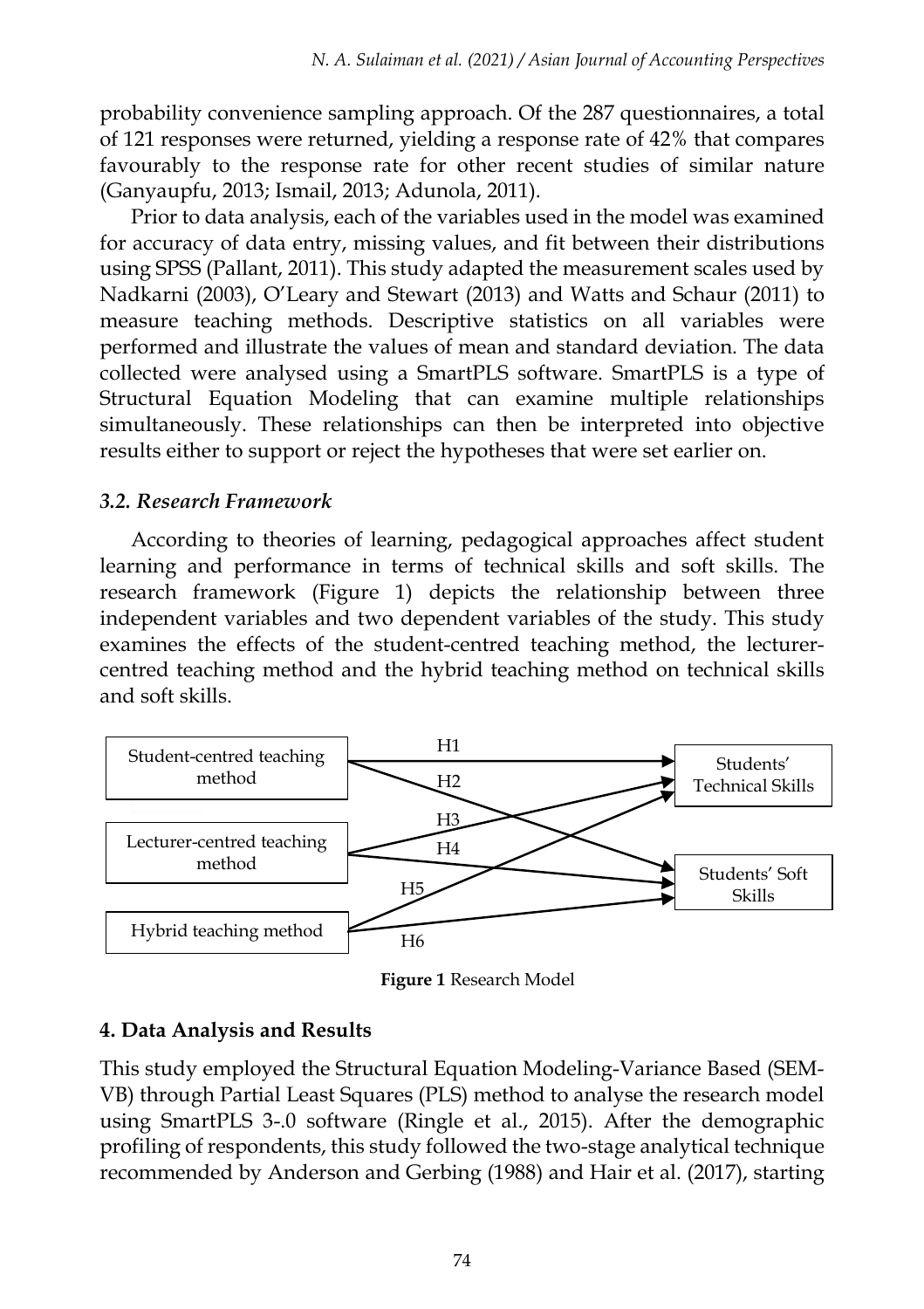probability convenience sampling approach. Of the 287 questionnaires, a total of 121 responses were returned, yielding a response rate of 42% that compares favourably to the response rate for other recent studies of similar nature (Ganyaupfu, 2013; Ismail, 2013; Adunola, 2011).

Prior to data analysis, each of the variables used in the model was examined for accuracy of data entry, missing values, and fit between their distributions using SPSS (Pallant, 2011). This study adapted the measurement scales used by Nadkarni (2003), O'Leary and Stewart (2013) and Watts and Schaur (2011) to measure teaching methods. Descriptive statistics on all variables were performed and illustrate the values of mean and standard deviation. The data collected were analysed using a SmartPLS software. SmartPLS is a type of Structural Equation Modeling that can examine multiple relationships simultaneously. These relationships can then be interpreted into objective results either to support or reject the hypotheses that were set earlier on.

#### *3.2. Research Framework*

According to theories of learning, pedagogical approaches affect student learning and performance in terms of technical skills and soft skills. The research framework (Figure 1) depicts the relationship between three independent variables and two dependent variables of the study. This study examines the effects of the student-centred teaching method, the lecturercentred teaching method and the hybrid teaching method on technical skills and soft skills.



**Figure 1** Research Model

#### **4. Data Analysis and Results**

This study employed the Structural Equation Modeling-Variance Based (SEM-VB) through Partial Least Squares (PLS) method to analyse the research model using SmartPLS 3-.0 software (Ringle et al., 2015). After the demographic profiling of respondents, this study followed the two-stage analytical technique recommended by Anderson and Gerbing (1988) and Hair et al. (2017), starting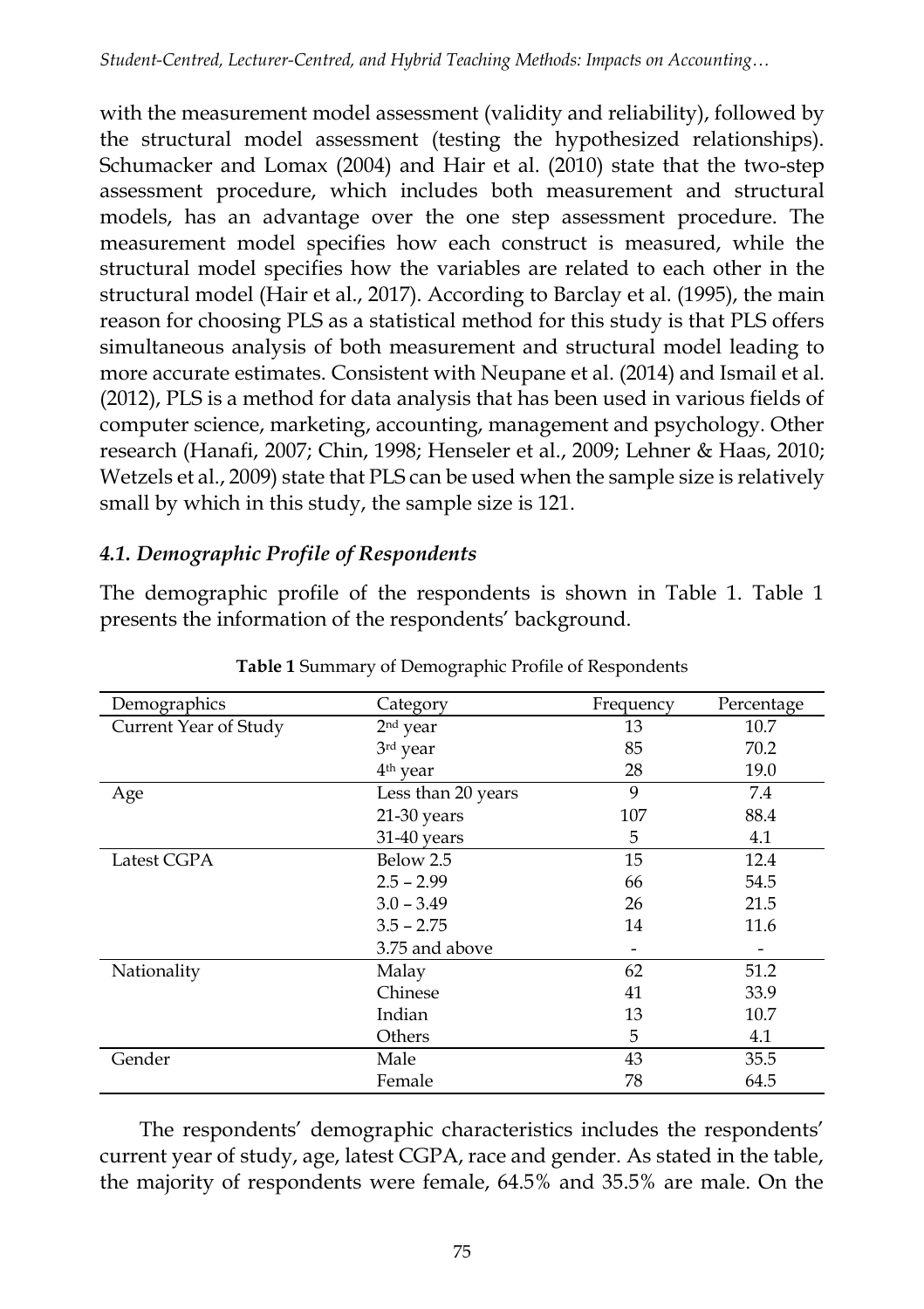with the measurement model assessment (validity and reliability), followed by the structural model assessment (testing the hypothesized relationships). Schumacker and Lomax (2004) and Hair et al. (2010) state that the two-step assessment procedure, which includes both measurement and structural models, has an advantage over the one step assessment procedure. The measurement model specifies how each construct is measured, while the structural model specifies how the variables are related to each other in the structural model (Hair et al., 2017). According to Barclay et al. (1995), the main reason for choosing PLS as a statistical method for this study is that PLS offers simultaneous analysis of both measurement and structural model leading to more accurate estimates. Consistent with Neupane et al. (2014) and Ismail et al. (2012), PLS is a method for data analysis that has been used in various fields of computer science, marketing, accounting, management and psychology. Other research (Hanafi, 2007; Chin, 1998; Henseler et al., 2009; Lehner & Haas, 2010; Wetzels et al., 2009) state that PLS can be used when the sample size is relatively small by which in this study, the sample size is 121.

## *4.1. Demographic Profile of Respondents*

The demographic profile of the respondents is shown in Table 1. Table 1 presents the information of the respondents' background.

| Demographics          | Category             | Frequency | Percentage |
|-----------------------|----------------------|-----------|------------|
| Current Year of Study | 2 <sup>nd</sup> year | 13        | 10.7       |
|                       | 3rd year             | 85        | 70.2       |
|                       | 4 <sup>th</sup> year | 28        | 19.0       |
| Age                   | Less than 20 years   | 9         | 7.4        |
|                       | $21-30$ years        | 107       | 88.4       |
|                       | 31-40 years          | 5         | 4.1        |
| Latest CGPA           | Below 2.5            | 15        | 12.4       |
|                       | $2.5 - 2.99$         | 66        | 54.5       |
|                       | $3.0 - 3.49$         | 26        | 21.5       |
|                       | $3.5 - 2.75$         | 14        | 11.6       |
|                       | 3.75 and above       |           |            |
| Nationality           | Malay                | 62        | 51.2       |
|                       | Chinese              | 41        | 33.9       |
|                       | Indian               | 13        | 10.7       |
|                       | Others               | 5         | 4.1        |
| Gender                | Male                 | 43        | 35.5       |
|                       | Female               | 78        | 64.5       |

**Table 1** Summary of Demographic Profile of Respondents

The respondents' demographic characteristics includes the respondents' current year of study, age, latest CGPA, race and gender. As stated in the table, the majority of respondents were female, 64.5% and 35.5% are male. On the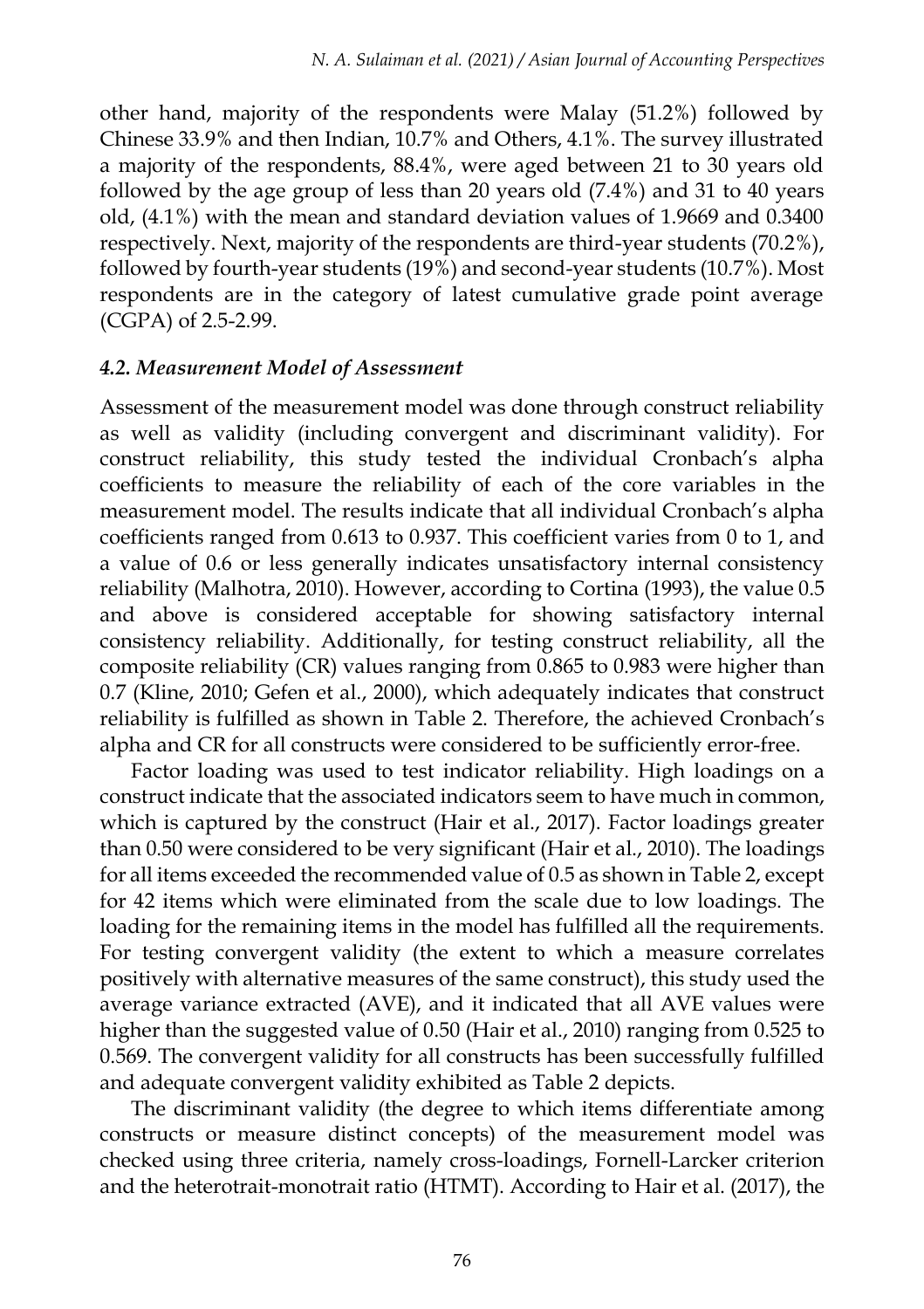other hand, majority of the respondents were Malay (51.2%) followed by Chinese 33.9% and then Indian, 10.7% and Others, 4.1%. The survey illustrated a majority of the respondents, 88.4%, were aged between 21 to 30 years old followed by the age group of less than 20 years old (7.4%) and 31 to 40 years old, (4.1%) with the mean and standard deviation values of 1.9669 and 0.3400 respectively. Next, majority of the respondents are third-year students (70.2%), followed by fourth-year students (19%) and second-year students (10.7%). Most respondents are in the category of latest cumulative grade point average (CGPA) of 2.5-2.99.

#### *4.2. Measurement Model of Assessment*

Assessment of the measurement model was done through construct reliability as well as validity (including convergent and discriminant validity). For construct reliability, this study tested the individual Cronbach's alpha coefficients to measure the reliability of each of the core variables in the measurement model. The results indicate that all individual Cronbach's alpha coefficients ranged from 0.613 to 0.937. This coefficient varies from 0 to 1, and a value of 0.6 or less generally indicates unsatisfactory internal consistency reliability (Malhotra, 2010). However, according to Cortina (1993), the value 0.5 and above is considered acceptable for showing satisfactory internal consistency reliability. Additionally, for testing construct reliability, all the composite reliability (CR) values ranging from 0.865 to 0.983 were higher than 0.7 (Kline, 2010; Gefen et al., 2000), which adequately indicates that construct reliability is fulfilled as shown in Table 2. Therefore, the achieved Cronbach's alpha and CR for all constructs were considered to be sufficiently error-free.

Factor loading was used to test indicator reliability. High loadings on a construct indicate that the associated indicators seem to have much in common, which is captured by the construct (Hair et al., 2017). Factor loadings greater than 0.50 were considered to be very significant (Hair et al., 2010). The loadings for all items exceeded the recommended value of 0.5 as shown in Table 2, except for 42 items which were eliminated from the scale due to low loadings. The loading for the remaining items in the model has fulfilled all the requirements. For testing convergent validity (the extent to which a measure correlates positively with alternative measures of the same construct), this study used the average variance extracted (AVE), and it indicated that all AVE values were higher than the suggested value of 0.50 (Hair et al., 2010) ranging from 0.525 to 0.569. The convergent validity for all constructs has been successfully fulfilled and adequate convergent validity exhibited as Table 2 depicts.

The discriminant validity (the degree to which items differentiate among constructs or measure distinct concepts) of the measurement model was checked using three criteria, namely cross-loadings, Fornell-Larcker criterion and the heterotrait-monotrait ratio (HTMT). According to Hair et al. (2017), the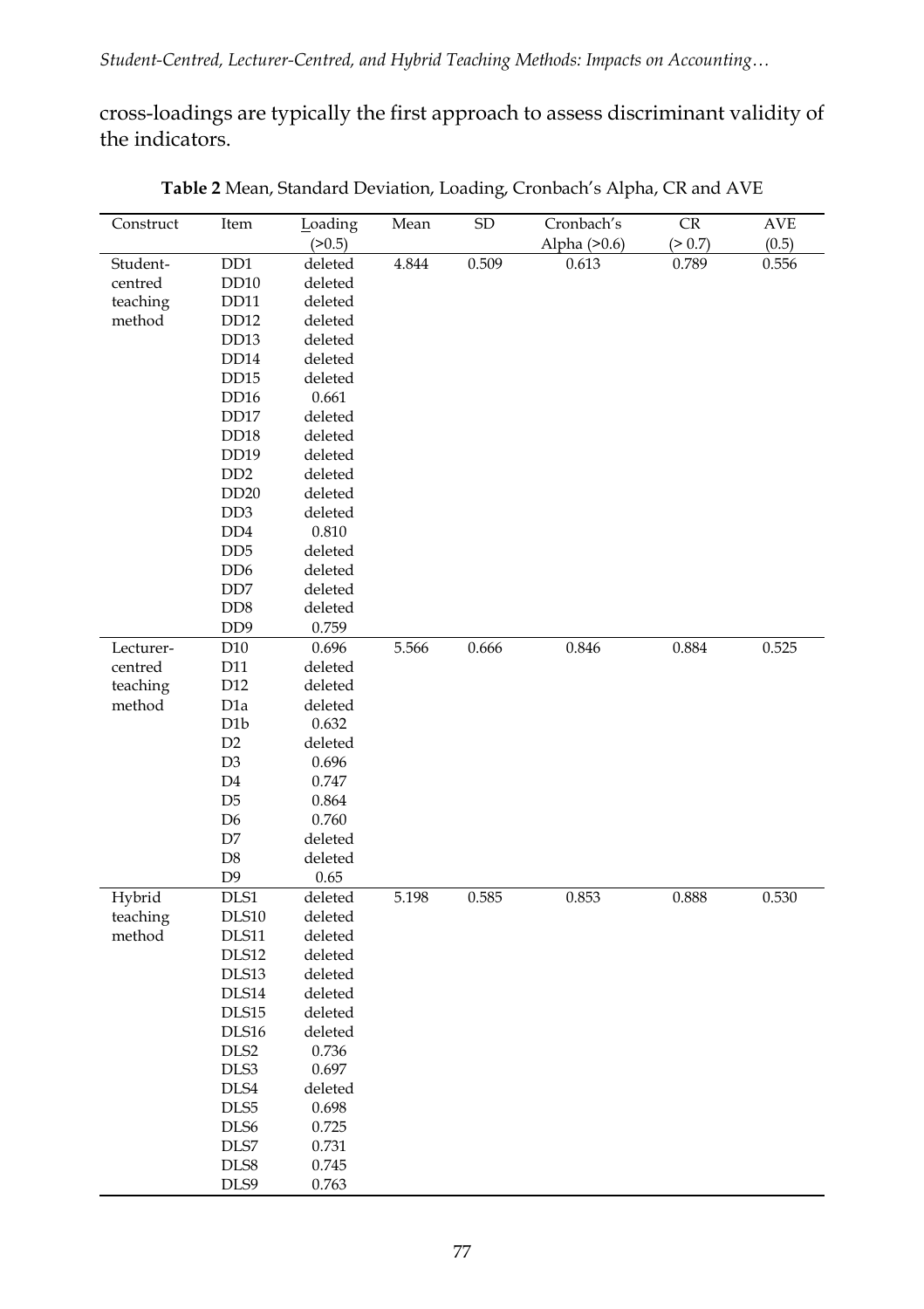cross-loadings are typically the first approach to assess discriminant validity of the indicators.

| Construct | Item                        | Loading | Mean  | <b>SD</b> | Cronbach's   | CR      | AVE   |
|-----------|-----------------------------|---------|-------|-----------|--------------|---------|-------|
|           |                             | (>0.5)  |       |           | Alpha (>0.6) | (> 0.7) | (0.5) |
| Student-  | D <sub>D</sub> 1            | deleted | 4.844 | 0.509     | 0.613        | 0.789   | 0.556 |
| centred   | DD10                        | deleted |       |           |              |         |       |
| teaching  | DD11                        | deleted |       |           |              |         |       |
| method    | DD <sub>12</sub>            | deleted |       |           |              |         |       |
|           | DD <sub>13</sub>            | deleted |       |           |              |         |       |
|           | DD14                        | deleted |       |           |              |         |       |
|           | <b>DD15</b>                 | deleted |       |           |              |         |       |
|           | DD <sub>16</sub>            | 0.661   |       |           |              |         |       |
|           | DD17                        | deleted |       |           |              |         |       |
|           | DD <sub>18</sub>            | deleted |       |           |              |         |       |
|           | <b>DD19</b>                 | deleted |       |           |              |         |       |
|           | D <sub>D</sub> <sub>2</sub> | deleted |       |           |              |         |       |
|           | <b>DD20</b>                 | deleted |       |           |              |         |       |
|           | DD <sub>3</sub>             | deleted |       |           |              |         |       |
|           | D <sub>D</sub>              | 0.810   |       |           |              |         |       |
|           | D <sub>D</sub> <sub>5</sub> | deleted |       |           |              |         |       |
|           | D <sub>D</sub> 6            | deleted |       |           |              |         |       |
|           |                             |         |       |           |              |         |       |
|           | DD7                         | deleted |       |           |              |         |       |
|           | D <sub>D</sub> 8            | deleted |       |           |              |         |       |
|           | D <sub>D</sub>              | 0.759   |       |           |              |         |       |
| Lecturer- | D <sub>10</sub>             | 0.696   | 5.566 | 0.666     | 0.846        | 0.884   | 0.525 |
| centred   | D11                         | deleted |       |           |              |         |       |
| teaching  | D <sub>12</sub>             | deleted |       |           |              |         |       |
| method    | D <sub>1</sub> a            | deleted |       |           |              |         |       |
|           | D <sub>1</sub> b            | 0.632   |       |           |              |         |       |
|           | D <sub>2</sub>              | deleted |       |           |              |         |       |
|           | D <sub>3</sub>              | 0.696   |       |           |              |         |       |
|           | D <sub>4</sub>              | 0.747   |       |           |              |         |       |
|           | D <sub>5</sub>              | 0.864   |       |           |              |         |       |
|           | D <sub>6</sub>              | 0.760   |       |           |              |         |       |
|           | D7                          | deleted |       |           |              |         |       |
|           | D <sub>8</sub>              | deleted |       |           |              |         |       |
|           | D <sub>9</sub>              | 0.65    |       |           |              |         |       |
| Hybrid    | $\rm{DLS1}$                 | deleted | 5.198 | 0.585     | 0.853        | 0.888   | 0.530 |
| teaching  | DLS10                       | deleted |       |           |              |         |       |
| method    | DLS11                       | deleted |       |           |              |         |       |
|           | DLS12                       | deleted |       |           |              |         |       |
|           | DLS13                       | deleted |       |           |              |         |       |
|           | DLS14                       | deleted |       |           |              |         |       |
|           | DLS15                       | deleted |       |           |              |         |       |
|           | DLS16                       | deleted |       |           |              |         |       |
|           | DLS <sub>2</sub>            | 0.736   |       |           |              |         |       |
|           | DLS3                        | 0.697   |       |           |              |         |       |
|           | DLS4                        | deleted |       |           |              |         |       |
|           | DLS5                        | 0.698   |       |           |              |         |       |
|           | DLS <sub>6</sub>            | 0.725   |       |           |              |         |       |
|           | DLS7                        | 0.731   |       |           |              |         |       |
|           | DLS8                        | 0.745   |       |           |              |         |       |
|           | DLS9                        | 0.763   |       |           |              |         |       |

**Table 2** Mean, Standard Deviation, Loading, Cronbach's Alpha, CR and AVE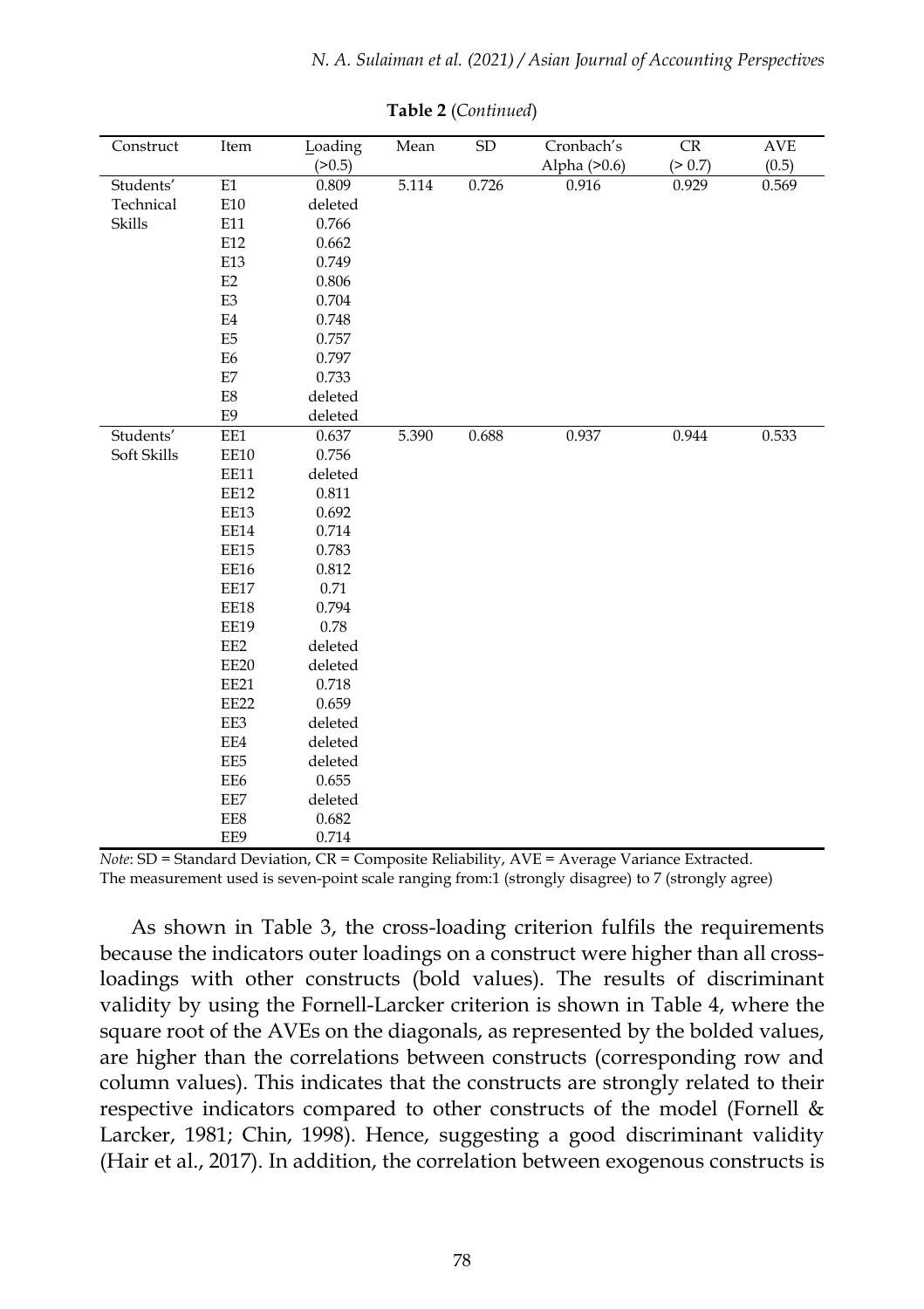| Construct   | Item           | Loading | Mean  | SD    | Cronbach's     | CR      | <b>AVE</b> |
|-------------|----------------|---------|-------|-------|----------------|---------|------------|
|             |                | (>0.5)  |       |       | Alpha $(>0.6)$ | (> 0.7) | (0.5)      |
| Students'   | E1             | 0.809   | 5.114 | 0.726 | 0.916          | 0.929   | 0.569      |
| Technical   | E10            | deleted |       |       |                |         |            |
| Skills      | E11            | 0.766   |       |       |                |         |            |
|             | E12            | 0.662   |       |       |                |         |            |
|             | E13            | 0.749   |       |       |                |         |            |
|             | E2             | 0.806   |       |       |                |         |            |
|             | E <sub>3</sub> | 0.704   |       |       |                |         |            |
|             | E4             | 0.748   |       |       |                |         |            |
|             | E <sub>5</sub> | 0.757   |       |       |                |         |            |
|             | E6             | 0.797   |       |       |                |         |            |
|             | E7             | 0.733   |       |       |                |         |            |
|             | E8             | deleted |       |       |                |         |            |
|             | E9             | deleted |       |       |                |         |            |
| Students'   | EE1            | 0.637   | 5.390 | 0.688 | 0.937          | 0.944   | 0.533      |
| Soft Skills | EE10           | 0.756   |       |       |                |         |            |
|             | EE11           | deleted |       |       |                |         |            |
|             | EE12           | 0.811   |       |       |                |         |            |
|             | EE13           | 0.692   |       |       |                |         |            |
|             | EE14           | 0.714   |       |       |                |         |            |
|             | EE15           | 0.783   |       |       |                |         |            |
|             | EE16           | 0.812   |       |       |                |         |            |
|             | EE17           | 0.71    |       |       |                |         |            |
|             | EE18           | 0.794   |       |       |                |         |            |
|             | EE19           | 0.78    |       |       |                |         |            |
|             | EE2            | deleted |       |       |                |         |            |
|             | EE20           | deleted |       |       |                |         |            |
|             | EE21           | 0.718   |       |       |                |         |            |
|             | EE22           | 0.659   |       |       |                |         |            |
|             | EE3            | deleted |       |       |                |         |            |
|             | EE4            | deleted |       |       |                |         |            |
|             | EE5            | deleted |       |       |                |         |            |
|             | EE6            | 0.655   |       |       |                |         |            |
|             | EE7            | deleted |       |       |                |         |            |
|             | EE8            | 0.682   |       |       |                |         |            |
|             | EE9            | 0.714   |       |       |                |         |            |

**Table 2** (*Continued*)

*Note*: SD = Standard Deviation, CR = Composite Reliability, AVE = Average Variance Extracted. The measurement used is seven-point scale ranging from:1 (strongly disagree) to 7 (strongly agree)

As shown in Table 3, the cross-loading criterion fulfils the requirements because the indicators outer loadings on a construct were higher than all crossloadings with other constructs (bold values). The results of discriminant validity by using the Fornell-Larcker criterion is shown in Table 4, where the square root of the AVEs on the diagonals, as represented by the bolded values, are higher than the correlations between constructs (corresponding row and column values). This indicates that the constructs are strongly related to their respective indicators compared to other constructs of the model (Fornell & Larcker, 1981; Chin, 1998). Hence, suggesting a good discriminant validity (Hair et al., 2017). In addition, the correlation between exogenous constructs is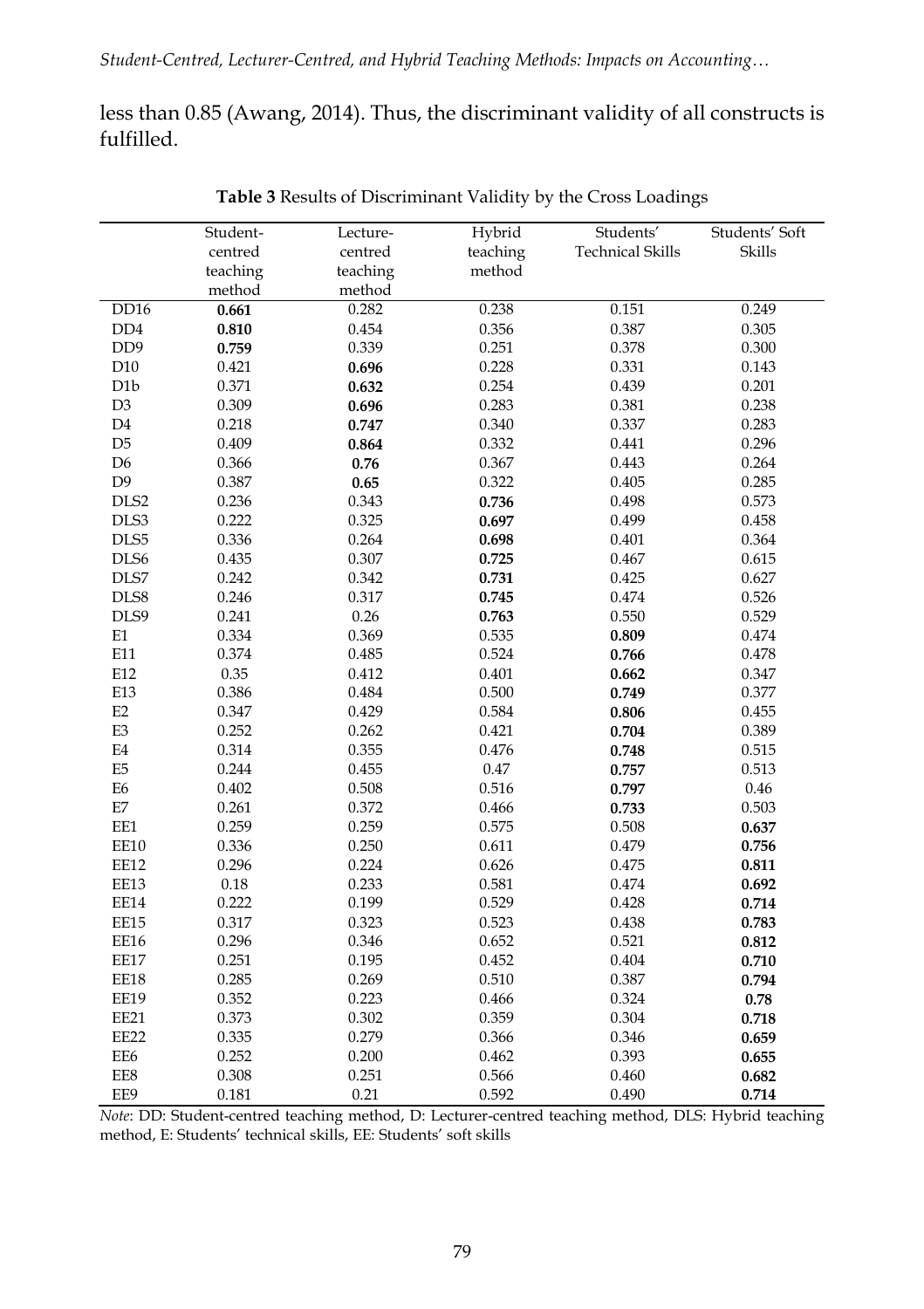less than 0.85 (Awang, 2014). Thus, the discriminant validity of all constructs is fulfilled.

|                             | Student- | Lecture- | Hybrid   | Students'               | Students' Soft |
|-----------------------------|----------|----------|----------|-------------------------|----------------|
|                             | centred  | centred  | teaching | <b>Technical Skills</b> | Skills         |
|                             | teaching | teaching | method   |                         |                |
|                             | method   | method   |          |                         |                |
| <b>DD16</b>                 | 0.661    | 0.282    | 0.238    | 0.151                   | 0.249          |
| D <sub>D</sub>              | 0.810    | 0.454    | 0.356    | 0.387                   | 0.305          |
| D <sub>D</sub> <sub>9</sub> | 0.759    | 0.339    | 0.251    | 0.378                   | 0.300          |
| D10                         | 0.421    | 0.696    | 0.228    | 0.331                   | 0.143          |
| D <sub>1</sub> b            | 0.371    | 0.632    | 0.254    | 0.439                   | 0.201          |
| D <sub>3</sub>              | 0.309    | 0.696    | 0.283    | 0.381                   | 0.238          |
| D4                          | 0.218    | 0.747    | 0.340    | 0.337                   | 0.283          |
| D <sub>5</sub>              | 0.409    | 0.864    | 0.332    | 0.441                   | 0.296          |
| D <sub>6</sub>              | 0.366    | 0.76     | 0.367    | 0.443                   | 0.264          |
| D <sub>9</sub>              | 0.387    | 0.65     | 0.322    | 0.405                   | 0.285          |
| DLS2                        | 0.236    | 0.343    | 0.736    | 0.498                   | 0.573          |
| DLS3                        | 0.222    | 0.325    | 0.697    | 0.499                   | 0.458          |
| DLS5                        | 0.336    | 0.264    | 0.698    | 0.401                   | 0.364          |
| DLS6                        | 0.435    | 0.307    | 0.725    | 0.467                   | 0.615          |
| DLS7                        | 0.242    | 0.342    | 0.731    | 0.425                   | 0.627          |
| DLS8                        | 0.246    | 0.317    | 0.745    | 0.474                   | 0.526          |
| DLS9                        | 0.241    | 0.26     | 0.763    | 0.550                   | 0.529          |
| E1                          | 0.334    | 0.369    | 0.535    | 0.809                   | 0.474          |
| E11                         | 0.374    | 0.485    | 0.524    | 0.766                   | 0.478          |
| E12                         | 0.35     | 0.412    | 0.401    | 0.662                   | 0.347          |
| E13                         | 0.386    | 0.484    | 0.500    | 0.749                   | 0.377          |
| E2                          | 0.347    | 0.429    | 0.584    | 0.806                   | 0.455          |
| E <sub>3</sub>              | 0.252    | 0.262    | 0.421    | 0.704                   | 0.389          |
| E4                          | 0.314    | 0.355    | 0.476    | 0.748                   | 0.515          |
| E <sub>5</sub>              | 0.244    | 0.455    | 0.47     | 0.757                   | 0.513          |
| E <sub>6</sub>              | 0.402    | 0.508    | 0.516    | 0.797                   | 0.46           |
| $\mathop{\rm E{}}\nolimits$ | 0.261    | 0.372    | 0.466    | 0.733                   | 0.503          |
| EE1                         | 0.259    | 0.259    | 0.575    | 0.508                   | 0.637          |
| EE10                        | 0.336    | 0.250    | 0.611    | 0.479                   | 0.756          |
| EE12                        | 0.296    | 0.224    | 0.626    | 0.475                   | 0.811          |
| EE13                        | 0.18     | 0.233    | 0.581    | 0.474                   | 0.692          |
| EE14                        | 0.222    | 0.199    | 0.529    | 0.428                   | 0.714          |
| EE15                        | 0.317    | 0.323    | 0.523    | 0.438                   | 0.783          |
| EE16                        | 0.296    | 0.346    | 0.652    | 0.521                   | 0.812          |
| EE17                        | 0.251    | 0.195    | 0.452    | 0.404                   | 0.710          |
| EE18                        | 0.285    | 0.269    | 0.510    | 0.387                   | 0.794          |
| EE19                        | 0.352    | 0.223    | 0.466    | 0.324                   | 0.78           |
| EE21                        | 0.373    | 0.302    | 0.359    | 0.304                   | 0.718          |
| EE22                        | 0.335    | 0.279    | 0.366    | 0.346                   | 0.659          |
| EE6                         | 0.252    | 0.200    | 0.462    | 0.393                   | 0.655          |
| EE8                         | 0.308    | 0.251    | 0.566    | 0.460                   | 0.682          |
| EE9                         | 0.181    | 0.21     | 0.592    | 0.490                   | 0.714          |
|                             |          |          |          |                         |                |

**Table 3** Results of Discriminant Validity by the Cross Loadings

*Note*: DD: Student-centred teaching method, D: Lecturer-centred teaching method, DLS: Hybrid teaching method, E: Students' technical skills, EE: Students' soft skills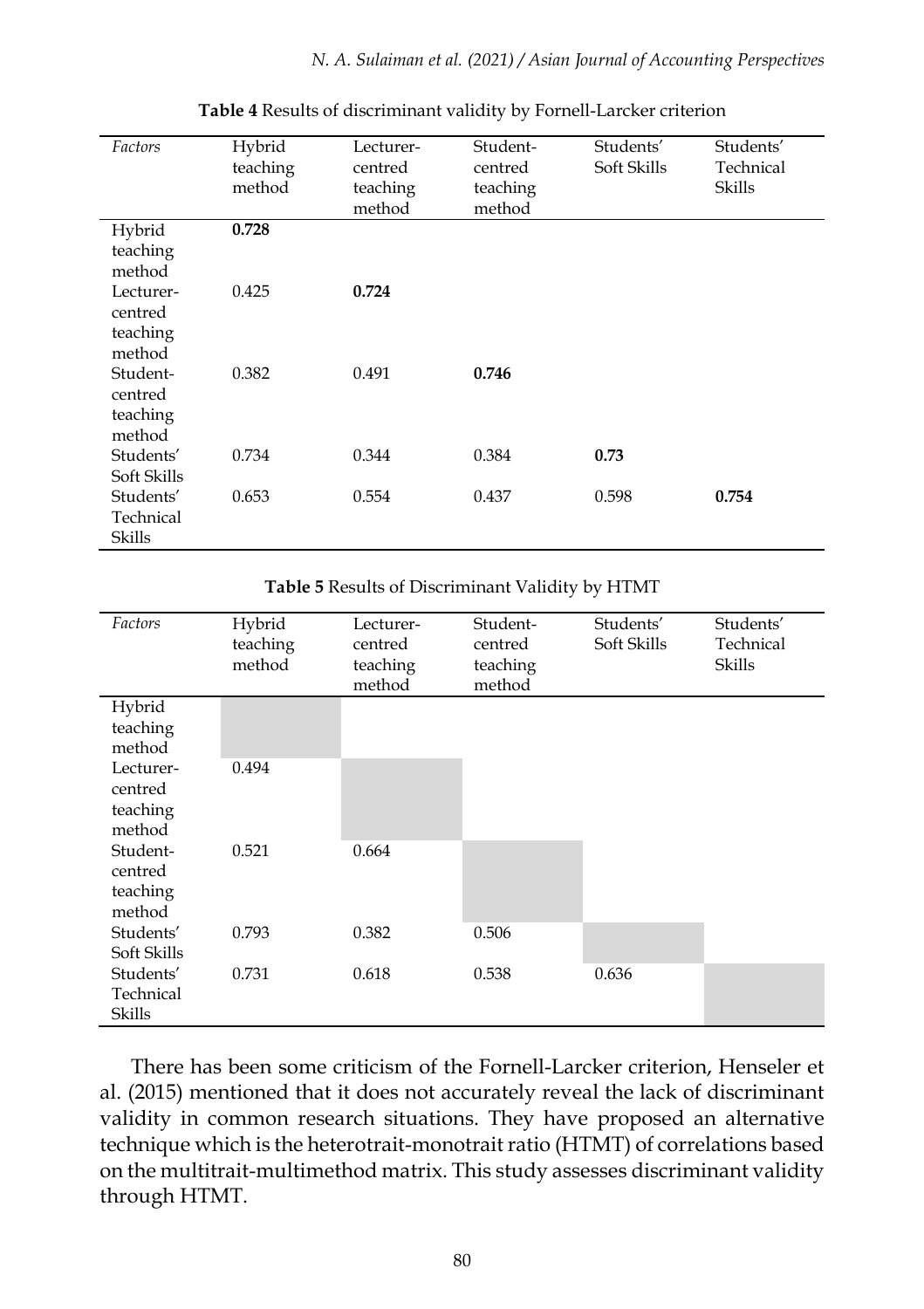*N. A. Sulaiman et al. (2021) / Asian Journal of Accounting Perspectives*

| Factors                                    | Hybrid<br>teaching<br>method | Lecturer-<br>centred<br>teaching<br>method | Student-<br>centred<br>teaching<br>method | Students'<br>Soft Skills | Students'<br>Technical<br>Skills |
|--------------------------------------------|------------------------------|--------------------------------------------|-------------------------------------------|--------------------------|----------------------------------|
| Hybrid<br>teaching<br>method               | 0.728                        |                                            |                                           |                          |                                  |
| Lecturer-<br>centred<br>teaching<br>method | 0.425                        | 0.724                                      |                                           |                          |                                  |
| Student-<br>centred<br>teaching<br>method  | 0.382                        | 0.491                                      | 0.746                                     |                          |                                  |
| Students'<br>Soft Skills                   | 0.734                        | 0.344                                      | 0.384                                     | 0.73                     |                                  |
| Students'<br>Technical<br>Skills           | 0.653                        | 0.554                                      | 0.437                                     | 0.598                    | 0.754                            |

**Table 4** Results of discriminant validity by Fornell-Larcker criterion

**Table 5** Results of Discriminant Validity by HTMT

| Factors                                    | Hybrid<br>teaching<br>method | Lecturer-<br>centred<br>teaching<br>method | Student-<br>centred<br>teaching<br>method | Students'<br>Soft Skills | Students'<br>Technical<br>Skills |
|--------------------------------------------|------------------------------|--------------------------------------------|-------------------------------------------|--------------------------|----------------------------------|
| Hybrid<br>teaching<br>method               |                              |                                            |                                           |                          |                                  |
| Lecturer-<br>centred<br>teaching<br>method | 0.494                        |                                            |                                           |                          |                                  |
| Student-<br>centred<br>teaching<br>method  | 0.521                        | 0.664                                      |                                           |                          |                                  |
| Students'<br>Soft Skills                   | 0.793                        | 0.382                                      | 0.506                                     |                          |                                  |
| Students'<br>Technical<br>Skills           | 0.731                        | 0.618                                      | 0.538                                     | 0.636                    |                                  |

There has been some criticism of the Fornell-Larcker criterion, Henseler et al. (2015) mentioned that it does not accurately reveal the lack of discriminant validity in common research situations. They have proposed an alternative technique which is the heterotrait-monotrait ratio (HTMT) of correlations based on the multitrait-multimethod matrix. This study assesses discriminant validity through HTMT.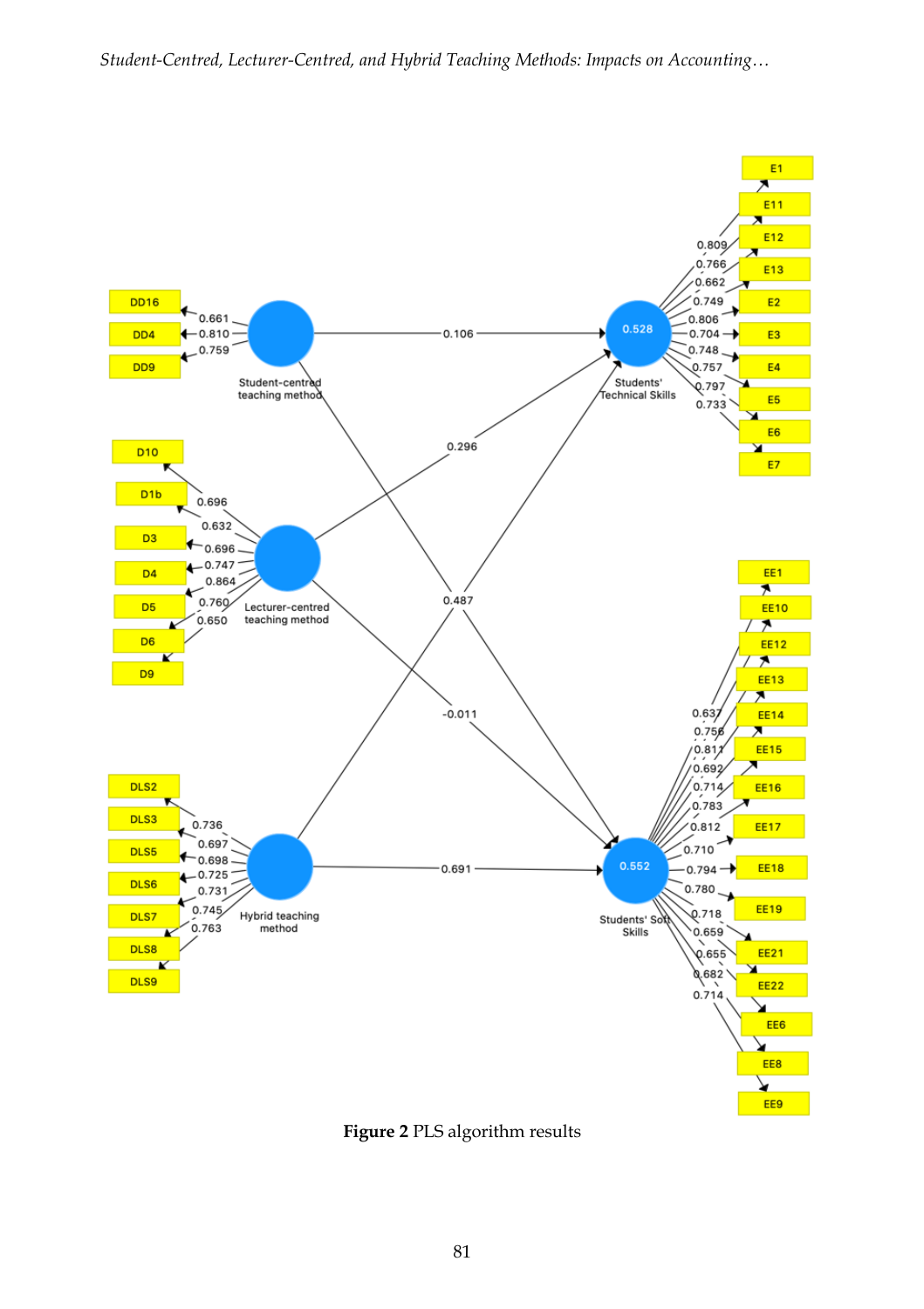

**Figure 2** PLS algorithm results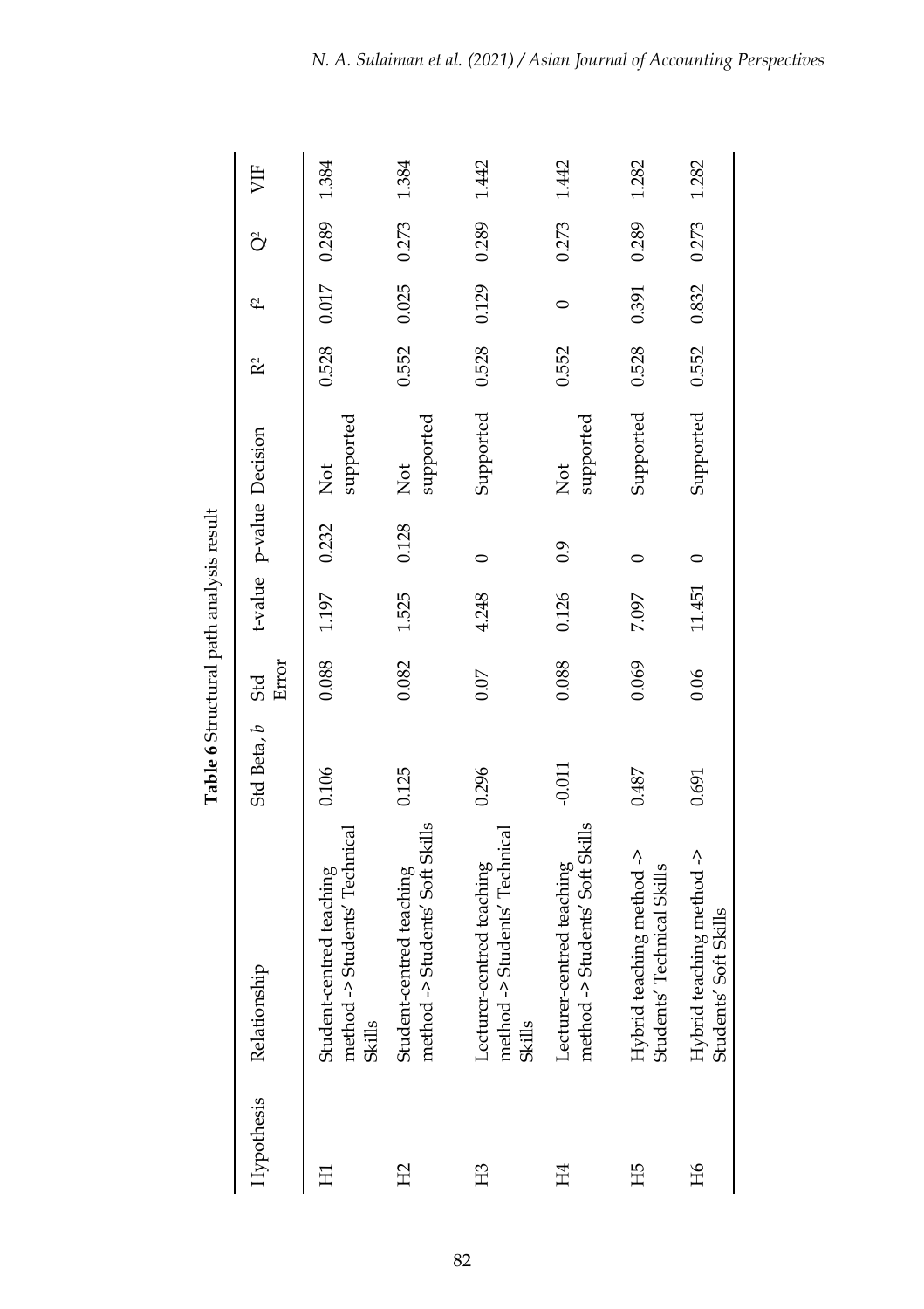|                |                                                                      | Table 6 Structural path analysis result |       |        |         |                                    |                |         |       |       |
|----------------|----------------------------------------------------------------------|-----------------------------------------|-------|--------|---------|------------------------------------|----------------|---------|-------|-------|
| Hypothesis     | Relationship                                                         | Std Beta, b Std                         | Error |        |         | t-value p-value Decision           | R <sup>2</sup> | f2      | õ     | 岁     |
| 묘              | method -> Students' Technical<br>Student-centred teaching<br>Skills  | 0.106                                   | 0.088 | 1.197  | 0.232   | supported<br><b>Not</b>            | 0.528          | 0.017   | 0.289 | 1.384 |
| H <sub>2</sub> | method -> Students' Soft Skills<br>Student-centred teaching          | 0.125                                   | 0.082 | 1.525  | 0.128   | supported<br>Not                   | 0.552          | 0.025   | 0.273 | 1.384 |
| H <sub>3</sub> | method -> Students' Technical<br>Lecturer-centred teaching<br>Skills | 0.296                                   | 0.07  | 4.248  | $\circ$ | Supported                          | 0.528          | 0.129   | 0.289 | 1.442 |
| H4             | method -> Students' Soft Skills<br>Lecturer-centred teaching         | $-0.011$                                | 0.088 | 0.126  | 0.9     | supported<br>$\overline{\text{R}}$ | 0.552          | $\circ$ | 0.273 | 1.442 |
| ЕË             | Hybrid teaching method -><br>Students' Technical Skills              | 0.487                                   | 0.069 | 7.097  |         | Supported                          | 0.528          | 0.391   | 0.289 | 1.282 |
| ЯH             | Hybrid teaching method -><br>Students' Soft Skills                   | 0.691                                   | 0.06  | 11.451 | $\circ$ | Supported 0.552                    |                | 0.832   | 0.273 | 1.282 |

Table 6 Structural path analysis result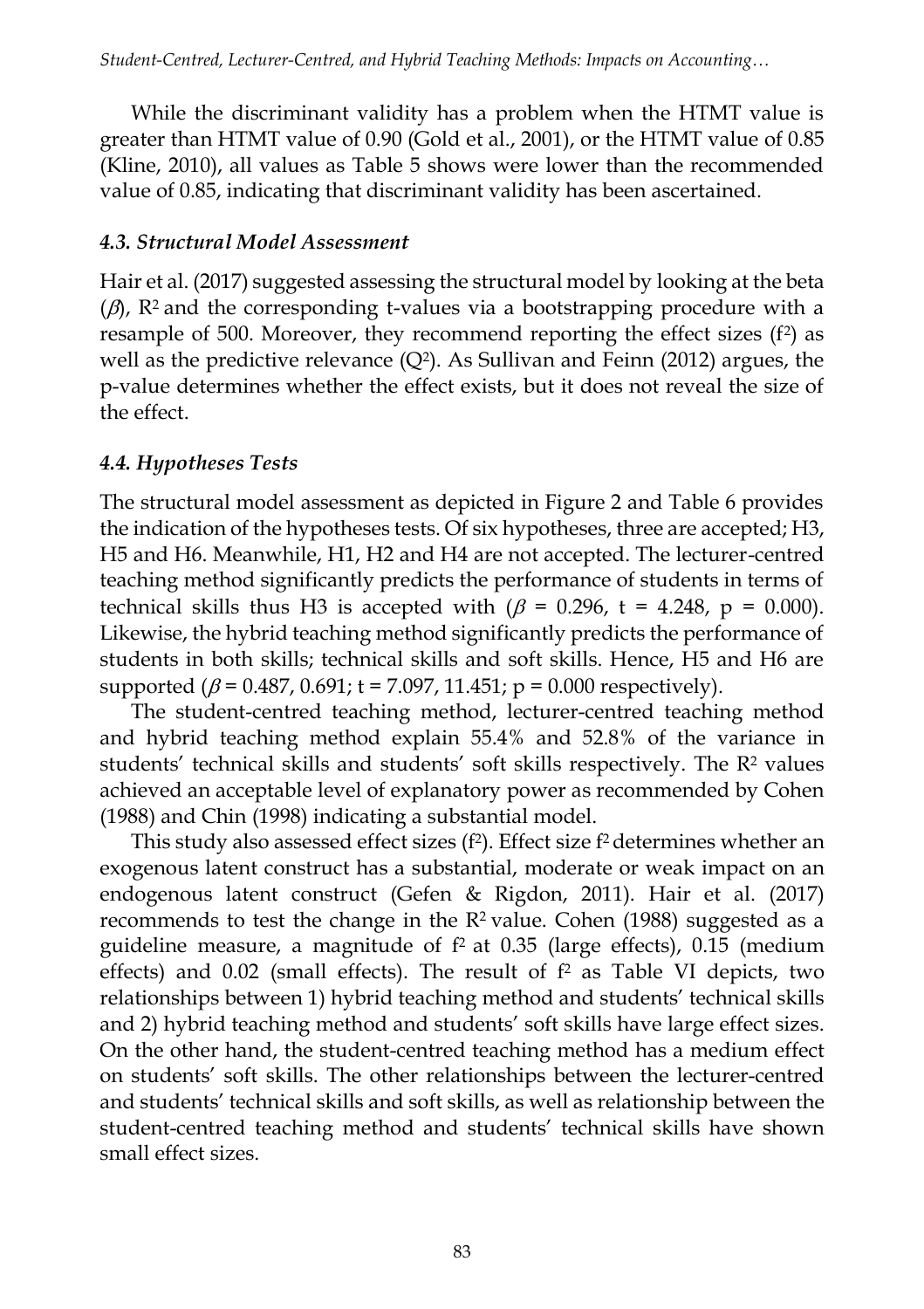While the discriminant validity has a problem when the HTMT value is greater than HTMT value of 0.90 (Gold et al., 2001), or the HTMT value of 0.85 (Kline, 2010), all values as Table 5 shows were lower than the recommended value of 0.85, indicating that discriminant validity has been ascertained.

## *4.3. Structural Model Assessment*

Hair et al. (2017) suggested assessing the structural model by looking at the beta  $(\beta)$ , R<sup>2</sup> and the corresponding t-values via a bootstrapping procedure with a resample of 500. Moreover, they recommend reporting the effect sizes  $(f^2)$  as well as the predictive relevance  $(Q^2)$ . As Sullivan and Feinn (2012) argues, the p-value determines whether the effect exists, but it does not reveal the size of the effect.

## *4.4. Hypotheses Tests*

The structural model assessment as depicted in Figure 2 and Table 6 provides the indication of the hypotheses tests. Of six hypotheses, three are accepted; H3, H5 and H6. Meanwhile, H1, H2 and H4 are not accepted. The lecturer-centred teaching method significantly predicts the performance of students in terms of technical skills thus H3 is accepted with  $(\beta = 0.296, t = 4.248, p = 0.000)$ . Likewise, the hybrid teaching method significantly predicts the performance of students in both skills; technical skills and soft skills. Hence, H5 and H6 are supported  $(\beta = 0.487, 0.691; t = 7.097, 11.451; p = 0.000$  respectively).

The student-centred teaching method, lecturer-centred teaching method and hybrid teaching method explain 55.4% and 52.8% of the variance in students' technical skills and students' soft skills respectively. The R<sup>2</sup> values achieved an acceptable level of explanatory power as recommended by Cohen (1988) and Chin (1998) indicating a substantial model.

This study also assessed effect sizes (f<sup>2</sup>). Effect size f<sup>2</sup> determines whether an exogenous latent construct has a substantial, moderate or weak impact on an endogenous latent construct (Gefen & Rigdon, 2011). Hair et al. (2017) recommends to test the change in the  $R^2$  value. Cohen (1988) suggested as a guideline measure, a magnitude of f <sup>2</sup> at 0.35 (large effects), 0.15 (medium effects) and 0.02 (small effects). The result of f <sup>2</sup> as Table VI depicts, two relationships between 1) hybrid teaching method and students' technical skills and 2) hybrid teaching method and students' soft skills have large effect sizes. On the other hand, the student-centred teaching method has a medium effect on students' soft skills. The other relationships between the lecturer-centred and students' technical skills and soft skills, as well as relationship between the student-centred teaching method and students' technical skills have shown small effect sizes.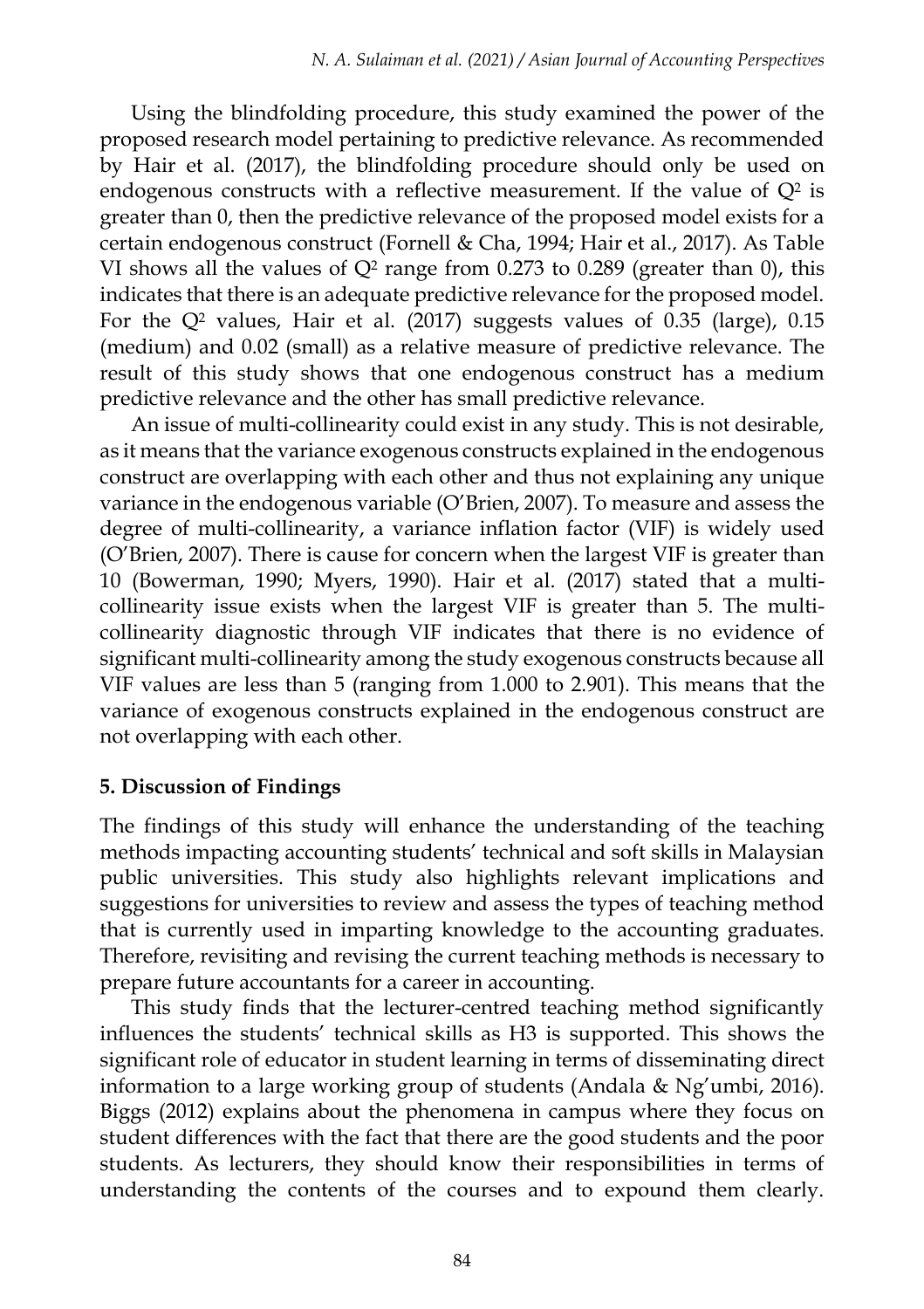Using the blindfolding procedure, this study examined the power of the proposed research model pertaining to predictive relevance. As recommended by Hair et al. (2017), the blindfolding procedure should only be used on endogenous constructs with a reflective measurement. If the value of  $Q^2$  is greater than 0, then the predictive relevance of the proposed model exists for a certain endogenous construct (Fornell & Cha, 1994; Hair et al., 2017). As Table VI shows all the values of  $Q^2$  range from 0.273 to 0.289 (greater than 0), this indicates that there is an adequate predictive relevance for the proposed model. For the  $Q^2$  values, Hair et al. (2017) suggests values of  $0.35$  (large), 0.15 (medium) and 0.02 (small) as a relative measure of predictive relevance. The result of this study shows that one endogenous construct has a medium predictive relevance and the other has small predictive relevance.

An issue of multi-collinearity could exist in any study. This is not desirable, as it means that the variance exogenous constructs explained in the endogenous construct are overlapping with each other and thus not explaining any unique variance in the endogenous variable (O'Brien, 2007). To measure and assess the degree of multi-collinearity, a variance inflation factor (VIF) is widely used (O'Brien, 2007). There is cause for concern when the largest VIF is greater than 10 (Bowerman, 1990; Myers, 1990). Hair et al. (2017) stated that a multicollinearity issue exists when the largest VIF is greater than 5. The multicollinearity diagnostic through VIF indicates that there is no evidence of significant multi-collinearity among the study exogenous constructs because all VIF values are less than 5 (ranging from 1.000 to 2.901). This means that the variance of exogenous constructs explained in the endogenous construct are not overlapping with each other.

#### **5. Discussion of Findings**

The findings of this study will enhance the understanding of the teaching methods impacting accounting students' technical and soft skills in Malaysian public universities. This study also highlights relevant implications and suggestions for universities to review and assess the types of teaching method that is currently used in imparting knowledge to the accounting graduates. Therefore, revisiting and revising the current teaching methods is necessary to prepare future accountants for a career in accounting.

This study finds that the lecturer-centred teaching method significantly influences the students' technical skills as H3 is supported. This shows the significant role of educator in student learning in terms of disseminating direct information to a large working group of students (Andala & Ng'umbi, 2016). Biggs (2012) explains about the phenomena in campus where they focus on student differences with the fact that there are the good students and the poor students. As lecturers, they should know their responsibilities in terms of understanding the contents of the courses and to expound them clearly.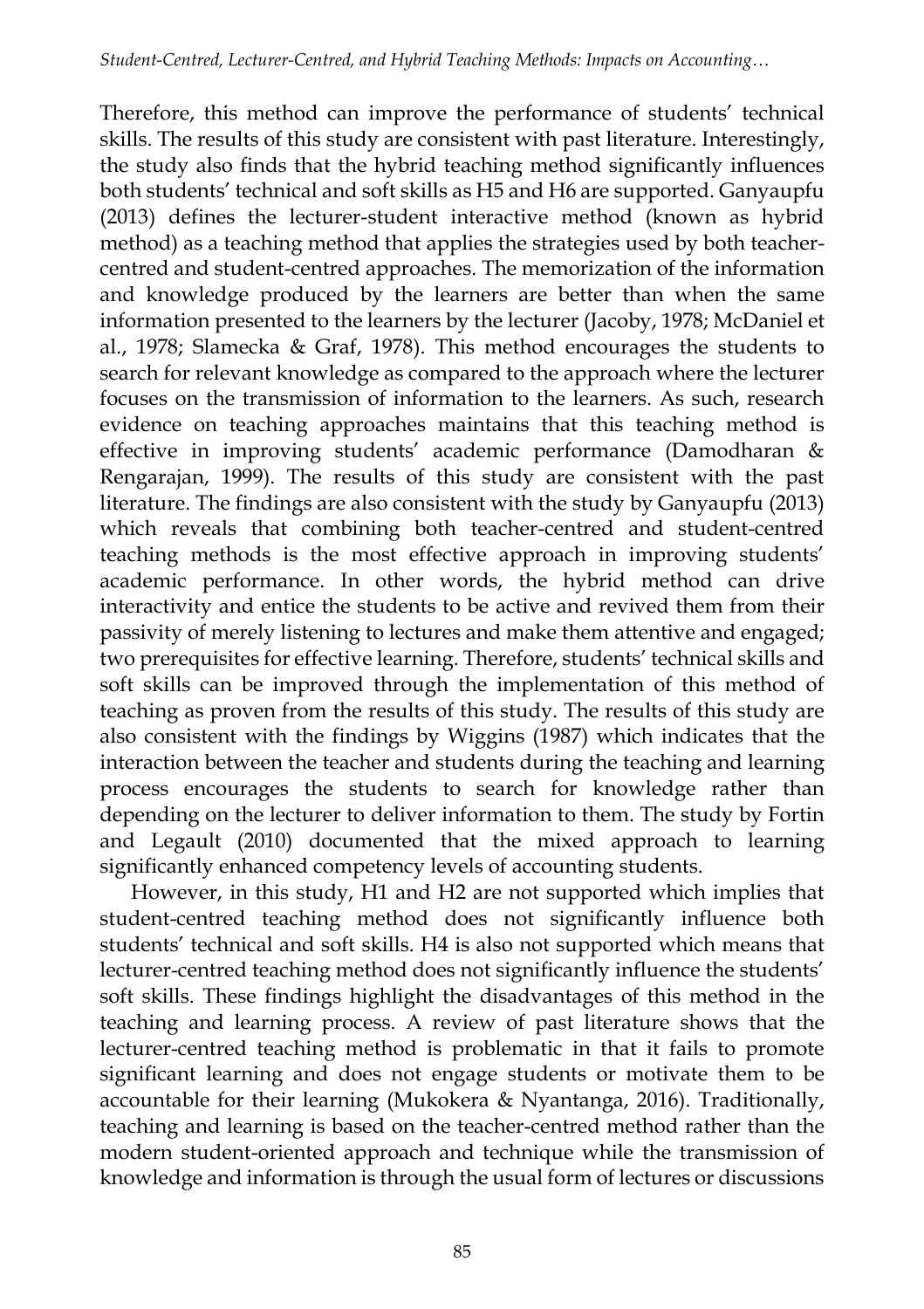Therefore, this method can improve the performance of students' technical skills. The results of this study are consistent with past literature. Interestingly, the study also finds that the hybrid teaching method significantly influences both students' technical and soft skills as H5 and H6 are supported. Ganyaupfu (2013) defines the lecturer-student interactive method (known as hybrid method) as a teaching method that applies the strategies used by both teachercentred and student-centred approaches. The memorization of the information and knowledge produced by the learners are better than when the same information presented to the learners by the lecturer (Jacoby, 1978; McDaniel et al., 1978; Slamecka & Graf, 1978). This method encourages the students to search for relevant knowledge as compared to the approach where the lecturer focuses on the transmission of information to the learners. As such, research evidence on teaching approaches maintains that this teaching method is effective in improving students' academic performance (Damodharan & Rengarajan, 1999). The results of this study are consistent with the past literature. The findings are also consistent with the study by Ganyaupfu (2013) which reveals that combining both teacher-centred and student-centred teaching methods is the most effective approach in improving students' academic performance. In other words, the hybrid method can drive interactivity and entice the students to be active and revived them from their passivity of merely listening to lectures and make them attentive and engaged; two prerequisites for effective learning. Therefore, students' technical skills and soft skills can be improved through the implementation of this method of teaching as proven from the results of this study. The results of this study are also consistent with the findings by Wiggins (1987) which indicates that the interaction between the teacher and students during the teaching and learning process encourages the students to search for knowledge rather than depending on the lecturer to deliver information to them. The study by Fortin and Legault (2010) documented that the mixed approach to learning significantly enhanced competency levels of accounting students.

However, in this study, H1 and H2 are not supported which implies that student-centred teaching method does not significantly influence both students' technical and soft skills. H4 is also not supported which means that lecturer-centred teaching method does not significantly influence the students' soft skills. These findings highlight the disadvantages of this method in the teaching and learning process. A review of past literature shows that the lecturer-centred teaching method is problematic in that it fails to promote significant learning and does not engage students or motivate them to be accountable for their learning (Mukokera & Nyantanga, 2016). Traditionally, teaching and learning is based on the teacher-centred method rather than the modern student-oriented approach and technique while the transmission of knowledge and information is through the usual form of lectures or discussions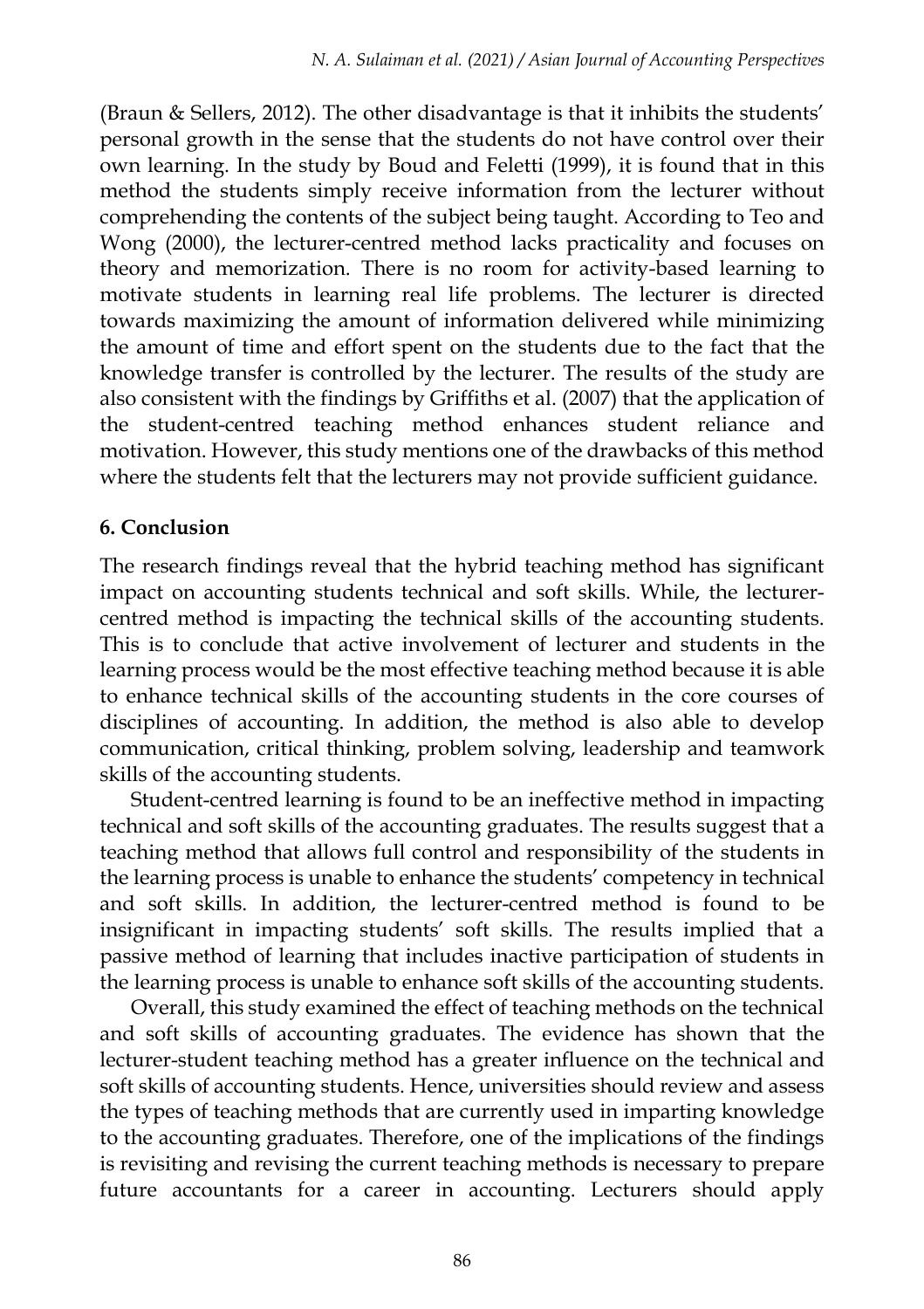(Braun & Sellers, 2012). The other disadvantage is that it inhibits the students' personal growth in the sense that the students do not have control over their own learning. In the study by Boud and Feletti (1999), it is found that in this method the students simply receive information from the lecturer without comprehending the contents of the subject being taught. According to Teo and Wong (2000), the lecturer-centred method lacks practicality and focuses on theory and memorization. There is no room for activity-based learning to motivate students in learning real life problems. The lecturer is directed towards maximizing the amount of information delivered while minimizing the amount of time and effort spent on the students due to the fact that the knowledge transfer is controlled by the lecturer. The results of the study are also consistent with the findings by Griffiths et al. (2007) that the application of the student-centred teaching method enhances student reliance and motivation. However, this study mentions one of the drawbacks of this method where the students felt that the lecturers may not provide sufficient guidance.

#### **6. Conclusion**

The research findings reveal that the hybrid teaching method has significant impact on accounting students technical and soft skills. While, the lecturercentred method is impacting the technical skills of the accounting students. This is to conclude that active involvement of lecturer and students in the learning process would be the most effective teaching method because it is able to enhance technical skills of the accounting students in the core courses of disciplines of accounting. In addition, the method is also able to develop communication, critical thinking, problem solving, leadership and teamwork skills of the accounting students.

Student-centred learning is found to be an ineffective method in impacting technical and soft skills of the accounting graduates. The results suggest that a teaching method that allows full control and responsibility of the students in the learning process is unable to enhance the students' competency in technical and soft skills. In addition, the lecturer-centred method is found to be insignificant in impacting students' soft skills. The results implied that a passive method of learning that includes inactive participation of students in the learning process is unable to enhance soft skills of the accounting students.

Overall, this study examined the effect of teaching methods on the technical and soft skills of accounting graduates. The evidence has shown that the lecturer-student teaching method has a greater influence on the technical and soft skills of accounting students. Hence, universities should review and assess the types of teaching methods that are currently used in imparting knowledge to the accounting graduates. Therefore, one of the implications of the findings is revisiting and revising the current teaching methods is necessary to prepare future accountants for a career in accounting. Lecturers should apply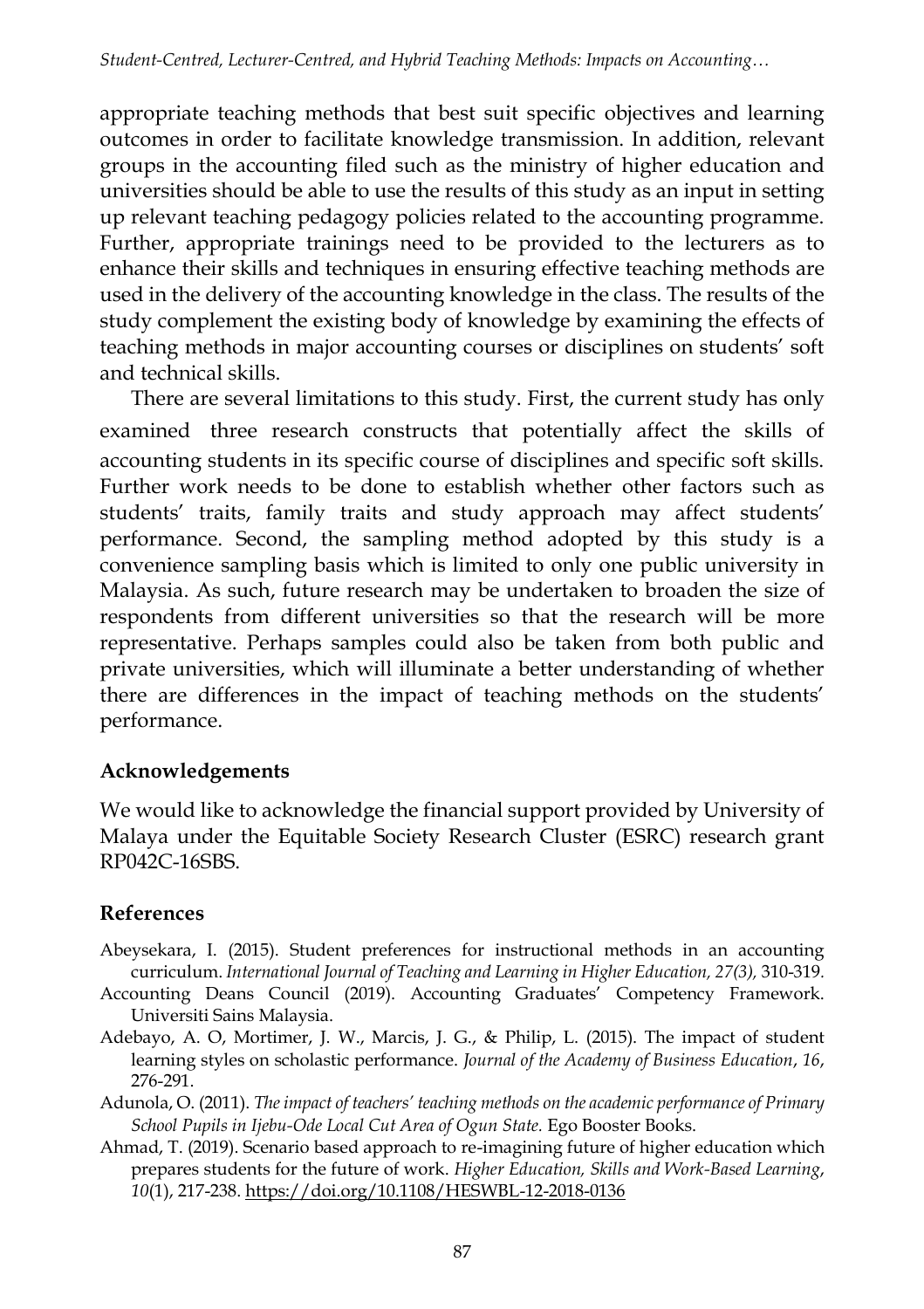appropriate teaching methods that best suit specific objectives and learning outcomes in order to facilitate knowledge transmission. In addition, relevant groups in the accounting filed such as the ministry of higher education and universities should be able to use the results of this study as an input in setting up relevant teaching pedagogy policies related to the accounting programme. Further, appropriate trainings need to be provided to the lecturers as to enhance their skills and techniques in ensuring effective teaching methods are used in the delivery of the accounting knowledge in the class. The results of the study complement the existing body of knowledge by examining the effects of teaching methods in major accounting courses or disciplines on students' soft and technical skills.

There are several limitations to this study. First, the current study has only examined three research constructs that potentially affect the skills of accounting students in its specific course of disciplines and specific soft skills. Further work needs to be done to establish whether other factors such as students' traits, family traits and study approach may affect students' performance. Second, the sampling method adopted by this study is a convenience sampling basis which is limited to only one public university in Malaysia. As such, future research may be undertaken to broaden the size of respondents from different universities so that the research will be more representative. Perhaps samples could also be taken from both public and private universities, which will illuminate a better understanding of whether there are differences in the impact of teaching methods on the students' performance.

#### **Acknowledgements**

We would like to acknowledge the financial support provided by University of Malaya under the Equitable Society Research Cluster (ESRC) research grant RP042C-16SBS.

# **References**

- Abeysekara, I. (2015). Student preferences for instructional methods in an accounting curriculum. *International Journal of Teaching and Learning in Higher Education, 27(3),* 310-319*.*
- Accounting Deans Council (2019). Accounting Graduates' Competency Framework. Universiti Sains Malaysia.
- Adebayo, A. O, Mortimer, J. W., Marcis, J. G., & Philip, L. (2015). The impact of student learning styles on scholastic performance. *Journal of the Academy of Business Education*, *16*, 276-291.
- Adunola, O. (2011). *The impact of teachers' teaching methods on the academic performance of Primary School Pupils in Ijebu-Ode Local Cut Area of Ogun State.* Ego Booster Books.
- Ahmad, T. (2019). Scenario based approach to re-imagining future of higher education which prepares students for the future of work. *Higher Education, Skills and Work-Based Learning*, *10*(1), 217-238[. https://doi.org/10.1108/HESWBL-12-2018-0136](https://doi.org/10.1108/HESWBL-12-2018-0136)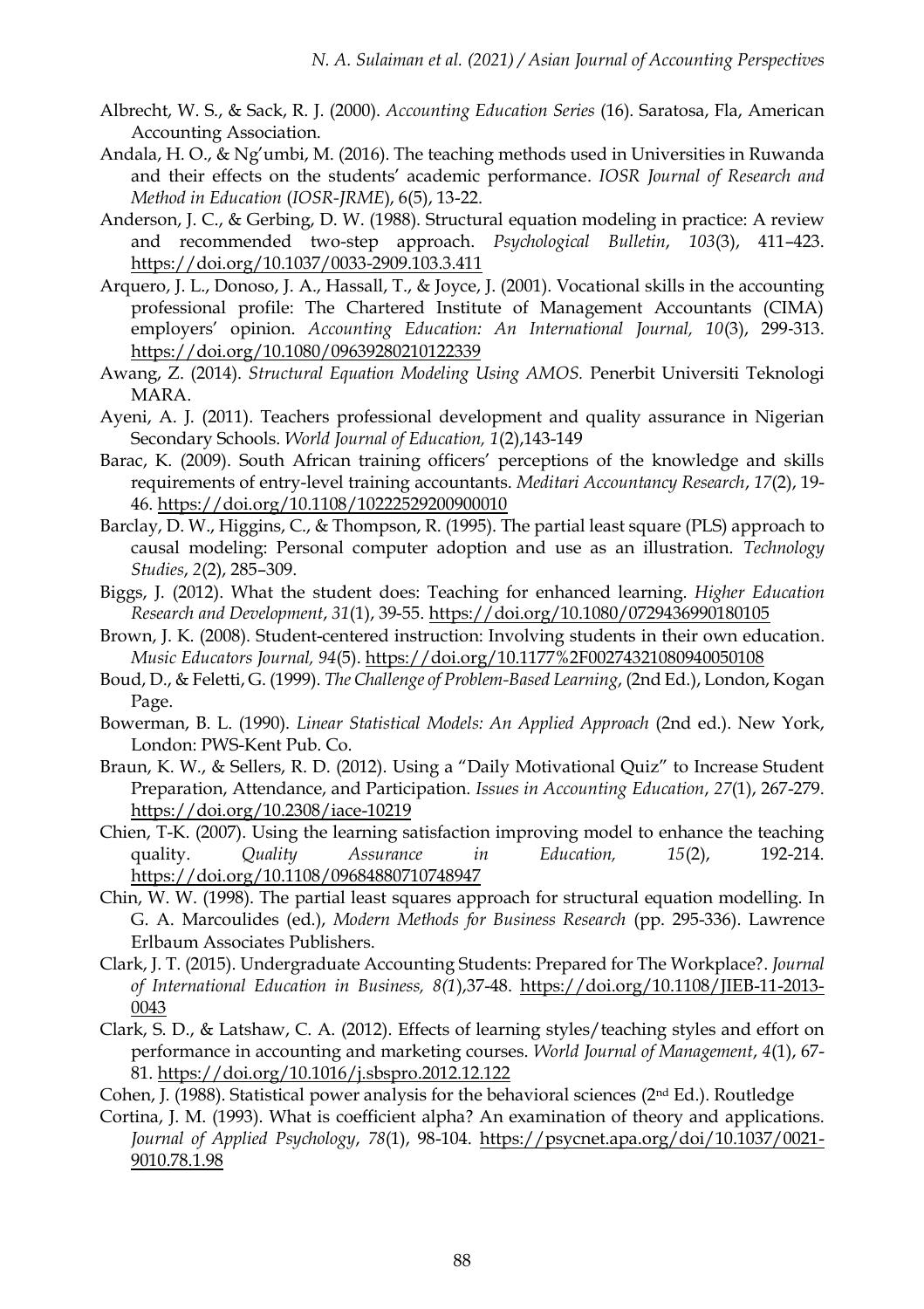- Albrecht, W. S., & Sack, R. J. (2000). *Accounting Education Series* (16). Saratosa, Fla, American Accounting Association.
- Andala, H. O., & Ng'umbi, M. (2016). The teaching methods used in Universities in Ruwanda and their effects on the students' academic performance. *IOSR Journal of Research and Method in Education* (*IOSR-JRME*), 6(5), 13-22.
- Anderson, J. C., & Gerbing, D. W. (1988). Structural equation modeling in practice: A review and recommended two-step approach. *Psychological Bulletin*, *103*(3), 411–423. <https://doi.org/10.1037/0033-2909.103.3.411>
- Arquero, J. L., Donoso, J. A., Hassall, T., & Joyce, J. (2001). Vocational skills in the accounting professional profile: The Chartered Institute of Management Accountants (CIMA) employers' opinion. *Accounting Education: An International Journal*, 10(3), 299-313. <https://doi.org/10.1080/09639280210122339>
- Awang, Z. (2014). *Structural Equation Modeling Using AMOS.* Penerbit Universiti Teknologi MARA.
- Ayeni, A. J. (2011). Teachers professional development and quality assurance in Nigerian Secondary Schools. *World Journal of Education, 1*(2),143-149
- Barac, K. (2009). South African training officers' perceptions of the knowledge and skills requirements of entry-level training accountants. *Meditari Accountancy Research*, *17*(2), 19- 46. <https://doi.org/10.1108/10222529200900010>
- Barclay, D. W., Higgins, C., & Thompson, R. (1995). The partial least square (PLS) approach to causal modeling: Personal computer adoption and use as an illustration. *Technology Studies*, *2*(2), 285–309.
- Biggs, J. (2012). What the student does: Teaching for enhanced learning. *Higher Education Research and Development*, *31*(1), 39-55. <https://doi.org/10.1080/0729436990180105>
- Brown, J. K. (2008). Student-centered instruction: Involving students in their own education. *Music Educators Journal, 94*(5). <https://doi.org/10.1177%2F00274321080940050108>
- Boud, D., & Feletti, G. (1999). *The Challenge of Problem-Based Learning*, (2nd Ed.), London, Kogan Page.
- Bowerman, B. L. (1990). *Linear Statistical Models: An Applied Approach* (2nd ed.). New York, London: PWS-Kent Pub. Co.
- Braun, K. W., & Sellers, R. D. (2012). Using a "Daily Motivational Quiz" to Increase Student Preparation, Attendance, and Participation. *Issues in Accounting Education*, *27*(1), 267-279. <https://doi.org/10.2308/iace-10219>
- Chien, T-K. (2007). Using the learning satisfaction improving model to enhance the teaching quality. *Quality Assurance in Education, 15*(2), 192-214. <https://doi.org/10.1108/09684880710748947>
- Chin, W. W. (1998). The partial least squares approach for structural equation modelling. In G. A. Marcoulides (ed.), *Modern Methods for Business Research* (pp. 295-336). Lawrence Erlbaum Associates Publishers.
- Clark, J. T. (2015). Undergraduate Accounting Students: Prepared for The Workplace?. *Journal of International Education in Business, 8(1*),37-48. [https://doi.org/10.1108/JIEB-11-2013-](https://doi.org/10.1108/JIEB-11-2013-0043) [0043](https://doi.org/10.1108/JIEB-11-2013-0043)
- Clark, S. D., & Latshaw, C. A. (2012). Effects of learning styles/teaching styles and effort on performance in accounting and marketing courses. *World Journal of Management*, *4*(1), 67- 81. <https://doi.org/10.1016/j.sbspro.2012.12.122>
- Cohen, J. (1988). Statistical power analysis for the behavioral sciences ( $2<sup>nd</sup> Ed$ .). Routledge
- Cortina, J. M. (1993). What is coefficient alpha? An examination of theory and applications. *Journal of Applied Psychology*, *78*(1), 98-104. [https://psycnet.apa.org/doi/10.1037/0021-](https://psycnet.apa.org/doi/10.1037/0021-9010.78.1.98) [9010.78.1.98](https://psycnet.apa.org/doi/10.1037/0021-9010.78.1.98)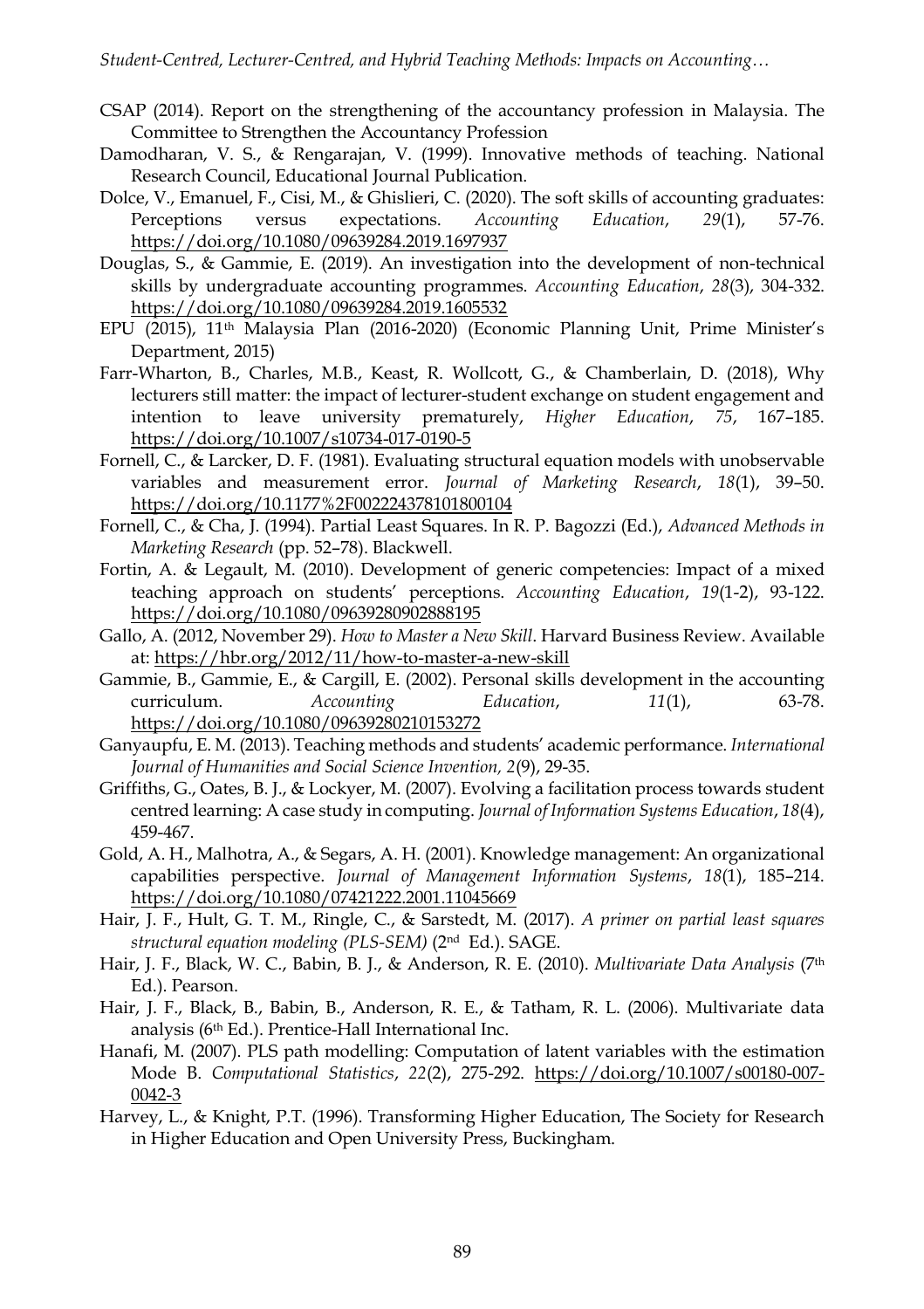- CSAP (2014). Report on the strengthening of the accountancy profession in Malaysia. The Committee to Strengthen the Accountancy Profession
- Damodharan, V. S., & Rengarajan, V. (1999). Innovative methods of teaching. National Research Council, Educational Journal Publication.
- Dolce, V., Emanuel, F., Cisi, M., & Ghislieri, C. (2020). The soft skills of accounting graduates: Perceptions versus expectations. *Accounting Education*, *29*(1), 57-76. <https://doi.org/10.1080/09639284.2019.1697937>
- Douglas, S., & Gammie, E. (2019). An investigation into the development of non-technical skills by undergraduate accounting programmes. *Accounting Education*, *28*(3), 304-332. <https://doi.org/10.1080/09639284.2019.1605532>
- EPU (2015), 11th Malaysia Plan (2016-2020) (Economic Planning Unit, Prime Minister's Department, 2015)
- Farr-Wharton, B., Charles, M.B., Keast, R. Wollcott, G., & Chamberlain, D. (2018), Why lecturers still matter: the impact of lecturer-student exchange on student engagement and intention to leave university prematurely, *Higher Education*, *75*, 167–185. <https://doi.org/10.1007/s10734-017-0190-5>
- Fornell, C., & Larcker, D. F. (1981). Evaluating structural equation models with unobservable variables and measurement error. *Journal of Marketing Research*, *18*(1), 39–50. <https://doi.org/10.1177%2F002224378101800104>
- Fornell, C., & Cha, J. (1994). Partial Least Squares. In R. P. Bagozzi (Ed.), *Advanced Methods in Marketing Research* (pp. 52–78). Blackwell.
- Fortin, A. & Legault, M. (2010). Development of generic competencies: Impact of a mixed teaching approach on students' perceptions. *Accounting Education*, *19*(1-2), 93-122. <https://doi.org/10.1080/09639280902888195>
- Gallo, A. (2012, November 29). *How to Master a New Skill*. Harvard Business Review. Available at[: https://hbr.org/2012/11/how-to-master-a-new-skill](https://hbr.org/2012/11/how-to-master-a-new-skill)
- Gammie, B., Gammie, E., & Cargill, E. (2002). Personal skills development in the accounting curriculum. *Accounting Education*, *11*(1), 63-78. <https://doi.org/10.1080/09639280210153272>
- Ganyaupfu, E. M. (2013). Teaching methods and students' academic performance. *International Journal of Humanities and Social Science Invention, 2*(9), 29-35.
- Griffiths, G., Oates, B. J., & Lockyer, M. (2007). Evolving a facilitation process towards student centred learning: A case study in computing. *Journal of Information Systems Education*, *18*(4), 459-467.
- Gold, A. H., Malhotra, A., & Segars, A. H. (2001). Knowledge management: An organizational capabilities perspective. *Journal of Management Information Systems*, *18*(1), 185–214. <https://doi.org/10.1080/07421222.2001.11045669>
- Hair, J. F., Hult, G. T. M., Ringle, C., & Sarstedt, M. (2017). *A primer on partial least squares structural equation modeling (PLS-SEM)* (2nd Ed.). SAGE.
- Hair, J. F., Black, W. C., Babin, B. J., & Anderson, R. E. (2010). *Multivariate Data Analysis* (7th Ed.). Pearson.
- Hair, J. F., Black, B., Babin, B., Anderson, R. E., & Tatham, R. L. (2006). Multivariate data analysis (6th Ed.). Prentice-Hall International Inc.
- Hanafi, M. (2007). PLS path modelling: Computation of latent variables with the estimation Mode B. *Computational Statistics*, *22*(2), 275-292. [https://doi.org/10.1007/s00180-007-](https://doi.org/10.1007/s00180-007-0042-3) [0042-3](https://doi.org/10.1007/s00180-007-0042-3)
- Harvey, L., & Knight, P.T. (1996). Transforming Higher Education, The Society for Research in Higher Education and Open University Press, Buckingham.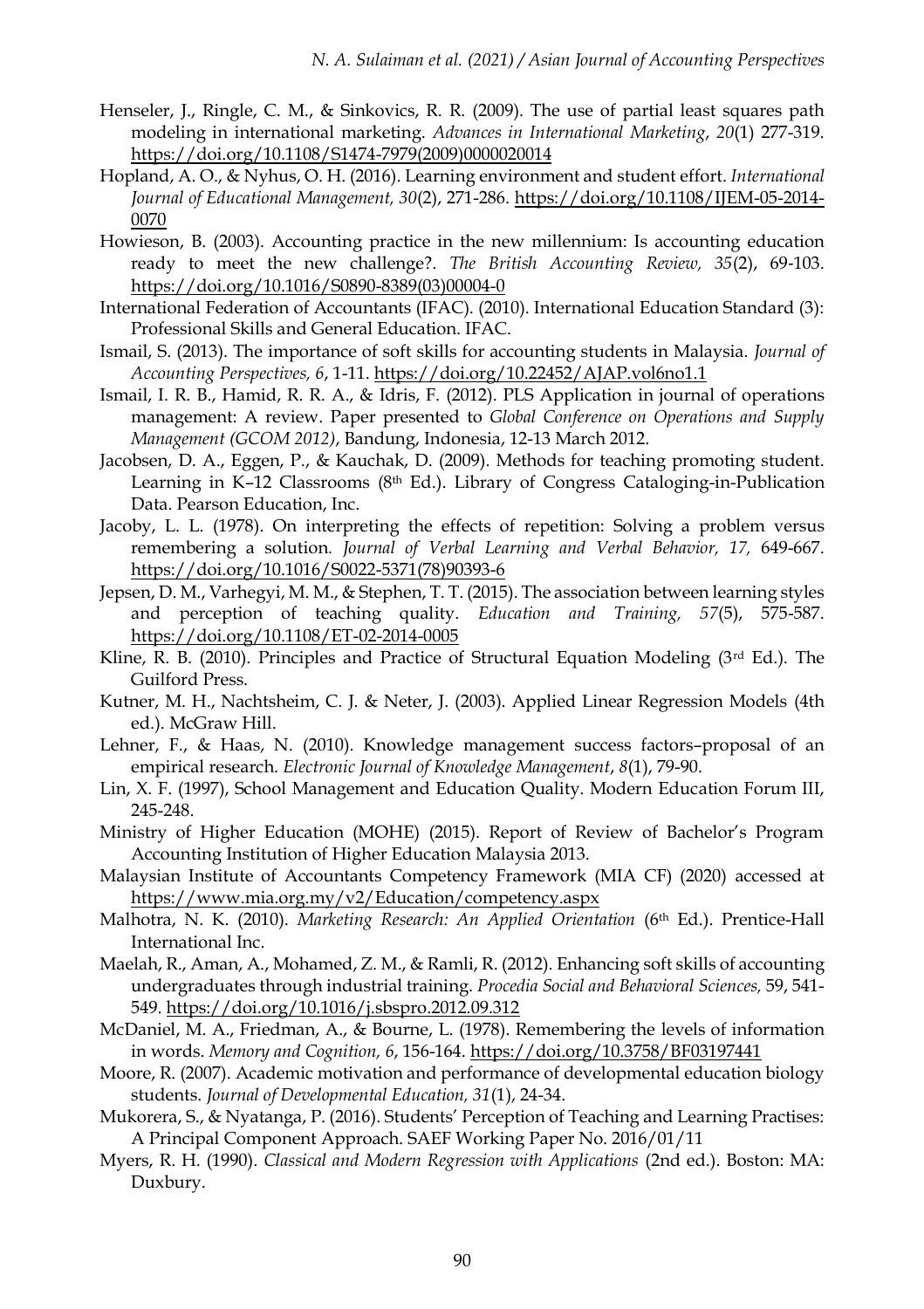- Henseler, J., Ringle, C. M., & Sinkovics, R. R. (2009). The use of partial least squares path modeling in international marketing. *Advances in International Marketing*, *20*(1) 277-319. [https://doi.org/10.1108/S1474-7979\(2009\)0000020014](https://doi.org/10.1108/S1474-7979(2009)0000020014)
- Hopland, A. O., & Nyhus, O. H. (2016). Learning environment and student effort. *International Journal of Educational Management, 30*(2), 271-286. [https://doi.org/10.1108/IJEM-05-2014-](https://doi.org/10.1108/IJEM-05-2014-0070) [0070](https://doi.org/10.1108/IJEM-05-2014-0070)
- Howieson, B. (2003). Accounting practice in the new millennium: Is accounting education ready to meet the new challenge?. *The British Accounting Review, 35*(2), 69‐103. [https://doi.org/10.1016/S0890-8389\(03\)00004-0](https://doi.org/10.1016/S0890-8389(03)00004-0)
- International Federation of Accountants (IFAC). (2010). International Education Standard (3): Professional Skills and General Education. IFAC.
- Ismail, S. (2013). The importance of soft skills for accounting students in Malaysia. *Journal of Accounting Perspectives, 6*, 1-11. <https://doi.org/10.22452/AJAP.vol6no1.1>
- Ismail, I. R. B., Hamid, R. R. A., & Idris, F. (2012). PLS Application in journal of operations management: A review. Paper presented to *Global Conference on Operations and Supply Management (GCOM 2012)*, Bandung, Indonesia, 12-13 March 2012.
- Jacobsen, D. A., Eggen, P., & Kauchak, D. (2009). Methods for teaching promoting student. Learning in K-12 Classrooms (8<sup>th</sup> Ed.). Library of Congress Cataloging-in-Publication Data. Pearson Education, Inc.
- Jacoby, L. L. (1978). On interpreting the effects of repetition: Solving a problem versus remembering a solution*. Journal of Verbal Learning and Verbal Behavior, 17,* 649-667. [https://doi.org/10.1016/S0022-5371\(78\)90393-6](https://doi.org/10.1016/S0022-5371(78)90393-6)
- Jepsen, D. M., Varhegyi, M. M., & Stephen, T. T. (2015). The association between learning styles and perception of teaching quality. *Education and Training, 57*(5), 575-587. <https://doi.org/10.1108/ET-02-2014-0005>
- Kline, R. B. (2010). Principles and Practice of Structural Equation Modeling ( $3rd$  Ed.). The Guilford Press.
- Kutner, M. H., Nachtsheim, C. J. & Neter, J. (2003). Applied Linear Regression Models (4th ed.). McGraw Hill.
- Lehner, F., & Haas, N. (2010). Knowledge management success factors–proposal of an empirical research. *Electronic Journal of Knowledge Management*, *8*(1), 79-90.
- Lin, X. F. (1997), School Management and Education Quality. Modern Education Forum III, 245-248.
- Ministry of Higher Education (MOHE) (2015). Report of Review of Bachelor's Program Accounting Institution of Higher Education Malaysia 2013.
- Malaysian Institute of Accountants Competency Framework (MIA CF) (2020) accessed at <https://www.mia.org.my/v2/Education/competency.aspx>
- Malhotra, N. K. (2010). *Marketing Research: An Applied Orientation* (6th Ed.). Prentice-Hall International Inc.
- Maelah, R., Aman, A., Mohamed, Z. M., & Ramli, R. (2012). Enhancing soft skills of accounting undergraduates through industrial training. *Procedia Social and Behavioral Sciences,* 59, 541- 549[. https://doi.org/10.1016/j.sbspro.2012.09.312](https://doi.org/10.1016/j.sbspro.2012.09.312)
- McDaniel, M. A., Friedman, A., & Bourne, L. (1978). Remembering the levels of information in words. *Memory and Cognition, 6*, 156-164. <https://doi.org/10.3758/BF03197441>
- Moore, R. (2007). Academic motivation and performance of developmental education biology students. *Journal of Developmental Education, 31*(1), 24-34.
- Mukorera, S., & Nyatanga, P. (2016). Students' Perception of Teaching and Learning Practises: A Principal Component Approach. SAEF Working Paper No. 2016/01/11
- Myers, R. H. (1990). *Classical and Modern Regression with Applications* (2nd ed.). Boston: MA: Duxbury.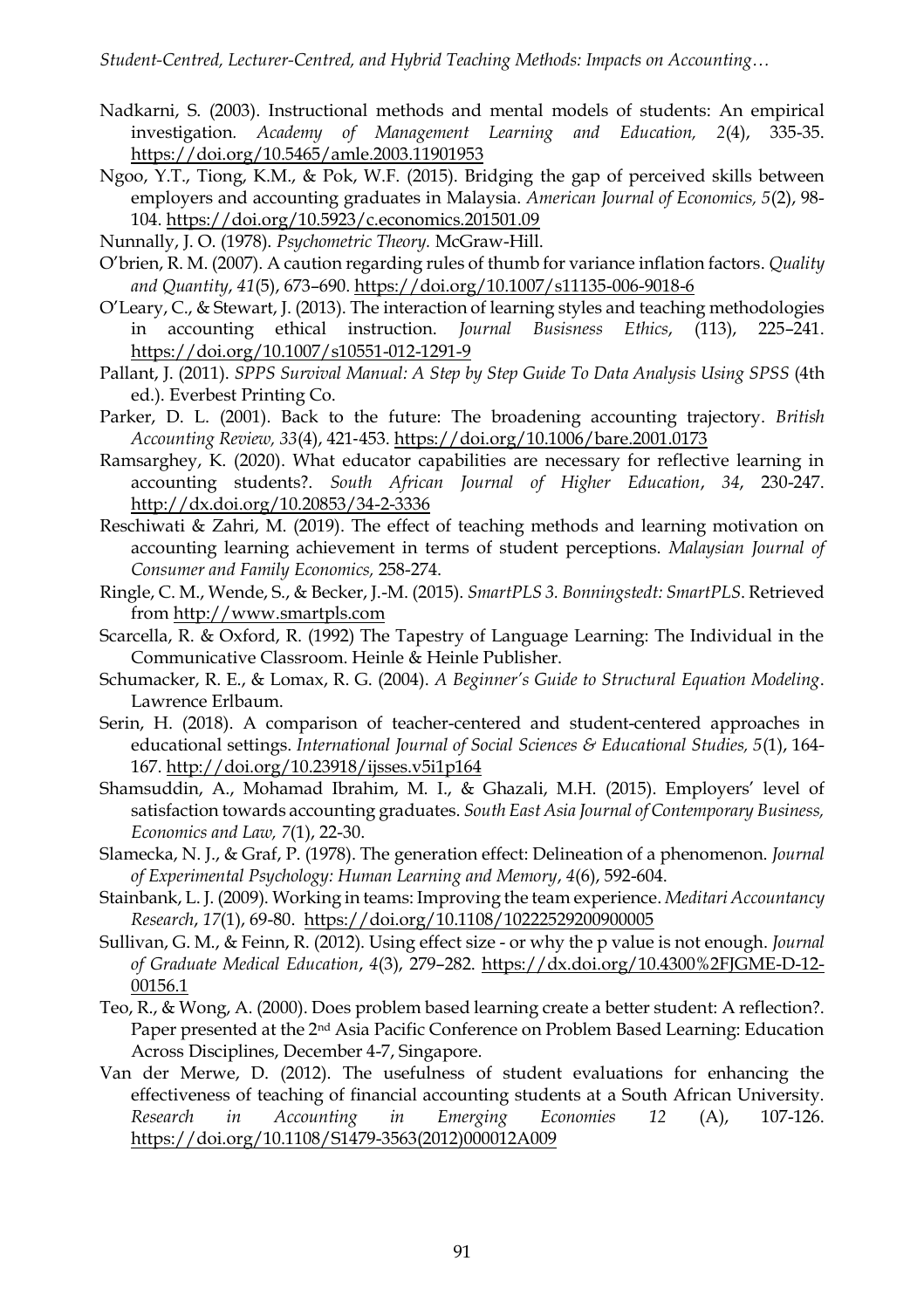- Nadkarni, S. (2003). Instructional methods and mental models of students: An empirical investigation*. Academy of Management Learning and Education, 2*(4), 335-35. <https://doi.org/10.5465/amle.2003.11901953>
- Ngoo, Y.T., Tiong, K.M., & Pok, W.F. (2015). Bridging the gap of perceived skills between employers and accounting graduates in Malaysia. *American Journal of Economics, 5*(2), 98- 104. <https://doi.org/10.5923/c.economics.201501.09>
- Nunnally, J. O. (1978). *Psychometric Theory.* McGraw-Hill.
- O'brien, R. M. (2007). A caution regarding rules of thumb for variance inflation factors. *Quality and Quantity*, *41*(5), 673–690[. https://doi.org/10.1007/s11135-006-9018-6](https://doi.org/10.1007/s11135-006-9018-6)
- O'Leary, C., & Stewart, J. (2013). The interaction of learning styles and teaching methodologies in accounting ethical instruction. *Journal Busisness Ethics*, (113), 225–241. <https://doi.org/10.1007/s10551-012-1291-9>
- Pallant, J. (2011). *SPPS Survival Manual: A Step by Step Guide To Data Analysis Using SPSS* (4th ed.). Everbest Printing Co.
- Parker, D. L. (2001). Back to the future: The broadening accounting trajectory. *British Accounting Review, 33*(4), 421‐453. <https://doi.org/10.1006/bare.2001.0173>
- Ramsarghey, K. (2020). What educator capabilities are necessary for reflective learning in accounting students?. *South African Journal of Higher Education*, *34*, 230-247. <http://dx.doi.org/10.20853/34-2-3336>
- Reschiwati & Zahri, M. (2019). The effect of teaching methods and learning motivation on accounting learning achievement in terms of student perceptions. *Malaysian Journal of Consumer and Family Economics,* 258-274.
- Ringle, C. M., Wende, S., & Becker, J.-M. (2015). *SmartPLS 3. Bonningstedt: SmartPLS*. Retrieved from [http://www.smartpls.com](http://www.smartpls.com/)
- Scarcella, R. & Oxford, R. (1992) The Tapestry of Language Learning: The Individual in the Communicative Classroom. Heinle & Heinle Publisher.
- Schumacker, R. E., & Lomax, R. G. (2004). *A Beginner's Guide to Structural Equation Modeling*. Lawrence Erlbaum.
- Serin, H. (2018). A comparison of teacher-centered and student-centered approaches in educational settings. *International Journal of Social Sciences & Educational Studies, 5*(1), 164- 167. <http://doi.org/10.23918/ijsses.v5i1p164>
- Shamsuddin, A., Mohamad Ibrahim, M. I., & Ghazali, M.H. (2015). Employers' level of satisfaction towards accounting graduates. *South East Asia Journal of Contemporary Business, Economics and Law, 7*(1), 22-30.
- Slamecka, N. J., & Graf, P. (1978). The generation effect: Delineation of a phenomenon. *Journal of Experimental Psychology: Human Learning and Memory*, *4*(6), 592-604.
- Stainbank, L. J. (2009). Working in teams: Improving the team experience. *Meditari Accountancy Research*, *17*(1), 69-80.<https://doi.org/10.1108/10222529200900005>
- Sullivan, G. M., & Feinn, R. (2012). Using effect size or why the p value is not enough. *Journal of Graduate Medical Education*, *4*(3), 279–282. [https://dx.doi.org/10.4300%2FJGME-D-12-](https://dx.doi.org/10.4300%2FJGME-D-12-00156.1) [00156.1](https://dx.doi.org/10.4300%2FJGME-D-12-00156.1)
- Teo, R., & Wong, A. (2000). Does problem based learning create a better student: A reflection?. Paper presented at the 2nd Asia Pacific Conference on Problem Based Learning: Education Across Disciplines, December 4-7, Singapore.
- Van der Merwe, D. (2012). The usefulness of student evaluations for enhancing the effectiveness of teaching of financial accounting students at a South African University. *Research in Accounting in Emerging Economies 12* (A), 107-126. [https://doi.org/10.1108/S1479-3563\(2012\)000012A009](https://doi.org/10.1108/S1479-3563(2012)000012A009)